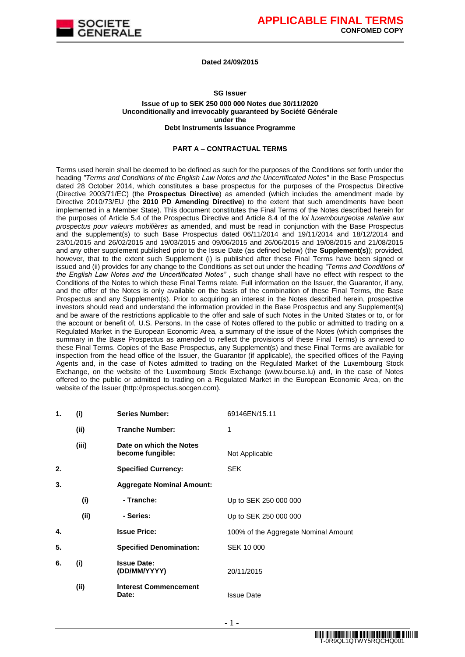

#### **Dated 24/09/2015**

#### **SG Issuer**

#### **Issue of up to SEK 250 000 000 Notes due 30/11/2020 Unconditionally and irrevocably guaranteed by Société Générale under the Debt Instruments Issuance Programme**

#### **PART A – CONTRACTUAL TERMS**

Terms used herein shall be deemed to be defined as such for the purposes of the Conditions set forth under the heading *"Terms and Conditions of the English Law Notes and the Uncertificated Notes"* in the Base Prospectus dated 28 October 2014, which constitutes a base prospectus for the purposes of the Prospectus Directive (Directive 2003/71/EC) (the **Prospectus Directive**) as amended (which includes the amendment made by Directive 2010/73/EU (the **2010 PD Amending Directive**) to the extent that such amendments have been implemented in a Member State). This document constitutes the Final Terms of the Notes described herein for the purposes of Article 5.4 of the Prospectus Directive and Article 8.4 of the *loi luxembourgeoise relative aux prospectus pour valeurs mobilières* as amended, and must be read in conjunction with the Base Prospectus and the supplement(s) to such Base Prospectus dated 06/11/2014 and 19/11/2014 and 18/12/2014 and 23/01/2015 and 26/02/2015 and 19/03/2015 and 09/06/2015 and 26/06/2015 and 19/08/2015 and 21/08/2015 and any other supplement published prior to the Issue Date (as defined below) (the **Supplement(s)**); provided, however, that to the extent such Supplement (i) is published after these Final Terms have been signed or issued and (ii) provides for any change to the Conditions as set out under the heading *"Terms and Conditions of the English Law Notes and the Uncertificated Notes" ,* such change shall have no effect with respect to the Conditions of the Notes to which these Final Terms relate. Full information on the Issuer, the Guarantor, if any, and the offer of the Notes is only available on the basis of the combination of these Final Terms, the Base Prospectus and any Supplement(s). Prior to acquiring an interest in the Notes described herein, prospective investors should read and understand the information provided in the Base Prospectus and any Supplement(s) and be aware of the restrictions applicable to the offer and sale of such Notes in the United States or to, or for the account or benefit of, U.S. Persons. In the case of Notes offered to the public or admitted to trading on a Regulated Market in the European Economic Area, a summary of the issue of the Notes (which comprises the summary in the Base Prospectus as amended to reflect the provisions of these Final Terms) is annexed to these Final Terms. Copies of the Base Prospectus, any Supplement(s) and these Final Terms are available for inspection from the head office of the Issuer, the Guarantor (if applicable), the specified offices of the Paying Agents and, in the case of Notes admitted to trading on the Regulated Market of the Luxembourg Stock Exchange, on the website of the Luxembourg Stock Exchange (www.bourse.lu) and, in the case of Notes offered to the public or admitted to trading on a Regulated Market in the European Economic Area, on the website of the Issuer (http://prospectus.socgen.com).

| 1. | (i)   | <b>Series Number:</b>                       | 69146EN/15.11                        |
|----|-------|---------------------------------------------|--------------------------------------|
|    | (ii)  | <b>Tranche Number:</b>                      | 1                                    |
|    | (iii) | Date on which the Notes<br>become fungible: | Not Applicable                       |
| 2. |       | <b>Specified Currency:</b>                  | <b>SEK</b>                           |
| 3. |       | <b>Aggregate Nominal Amount:</b>            |                                      |
|    | (i)   | - Tranche:                                  | Up to SEK 250 000 000                |
|    | (ii)  | - Series:                                   | Up to SEK 250 000 000                |
| 4. |       | <b>Issue Price:</b>                         | 100% of the Aggregate Nominal Amount |
| 5. |       | <b>Specified Denomination:</b>              | SEK 10 000                           |
| 6. | (i)   | <b>Issue Date:</b><br>(DD/MM/YYYY)          | 20/11/2015                           |
|    | (ii)  | <b>Interest Commencement</b><br>Date:       | <b>Issue Date</b>                    |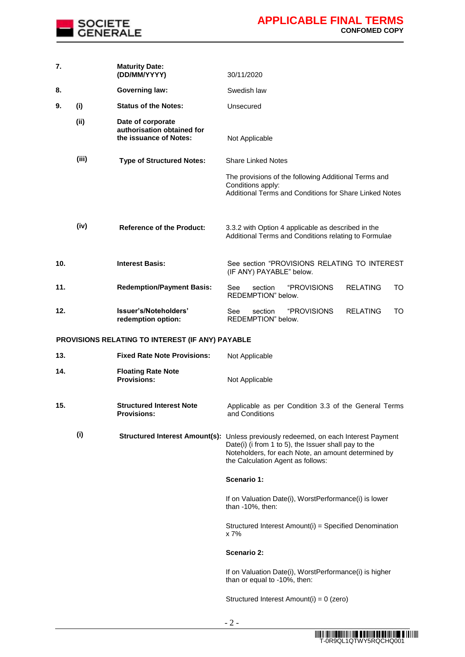

| 7.  |       | <b>Maturity Date:</b><br>(DD/MM/YYYY)                                     | 30/11/2020                                                                                                                                                                                                                              |
|-----|-------|---------------------------------------------------------------------------|-----------------------------------------------------------------------------------------------------------------------------------------------------------------------------------------------------------------------------------------|
| 8.  |       | <b>Governing law:</b>                                                     | Swedish law                                                                                                                                                                                                                             |
| 9.  | (i)   | <b>Status of the Notes:</b>                                               | Unsecured                                                                                                                                                                                                                               |
|     | (i)   | Date of corporate<br>authorisation obtained for<br>the issuance of Notes: | Not Applicable                                                                                                                                                                                                                          |
|     | (iii) | <b>Type of Structured Notes:</b>                                          | <b>Share Linked Notes</b>                                                                                                                                                                                                               |
|     |       |                                                                           | The provisions of the following Additional Terms and<br>Conditions apply:<br>Additional Terms and Conditions for Share Linked Notes                                                                                                     |
|     | (iv)  | <b>Reference of the Product:</b>                                          | 3.3.2 with Option 4 applicable as described in the<br>Additional Terms and Conditions relating to Formulae                                                                                                                              |
| 10. |       | <b>Interest Basis:</b>                                                    | See section "PROVISIONS RELATING TO INTEREST<br>(IF ANY) PAYABLE" below.                                                                                                                                                                |
| 11. |       | <b>Redemption/Payment Basis:</b>                                          | "PROVISIONS<br>See<br>section<br><b>RELATING</b><br>TO<br>REDEMPTION" below.                                                                                                                                                            |
| 12. |       | Issuer's/Noteholders'<br>redemption option:                               | "PROVISIONS<br><b>RELATING</b><br>section<br>TO<br>See<br>REDEMPTION" below.                                                                                                                                                            |
|     |       | PROVISIONS RELATING TO INTEREST (IF ANY) PAYABLE                          |                                                                                                                                                                                                                                         |
| 13. |       | <b>Fixed Rate Note Provisions:</b>                                        | Not Applicable                                                                                                                                                                                                                          |
| 14. |       | <b>Floating Rate Note</b><br><b>Provisions:</b>                           | Not Applicable                                                                                                                                                                                                                          |
| 15. |       | <b>Structured Interest Note</b><br><b>Provisions:</b>                     | Applicable as per Condition 3.3 of the General Terms<br>and Conditions                                                                                                                                                                  |
|     | (i)   |                                                                           | Structured Interest Amount(s): Unless previously redeemed, on each Interest Payment<br>Date(i) (i from 1 to 5), the Issuer shall pay to the<br>Noteholders, for each Note, an amount determined by<br>the Calculation Agent as follows: |
|     |       |                                                                           | Scenario 1:                                                                                                                                                                                                                             |
|     |       |                                                                           | If on Valuation Date(i), WorstPerformance(i) is lower<br>than -10%, then:                                                                                                                                                               |
|     |       |                                                                           | Structured Interest Amount(i) = Specified Denomination<br>x 7%                                                                                                                                                                          |
|     |       |                                                                           | Scenario 2:                                                                                                                                                                                                                             |
|     |       |                                                                           | If on Valuation Date(i), WorstPerformance(i) is higher<br>than or equal to -10%, then:                                                                                                                                                  |
|     |       |                                                                           | Structured Interest Amount(i) = 0 (zero)                                                                                                                                                                                                |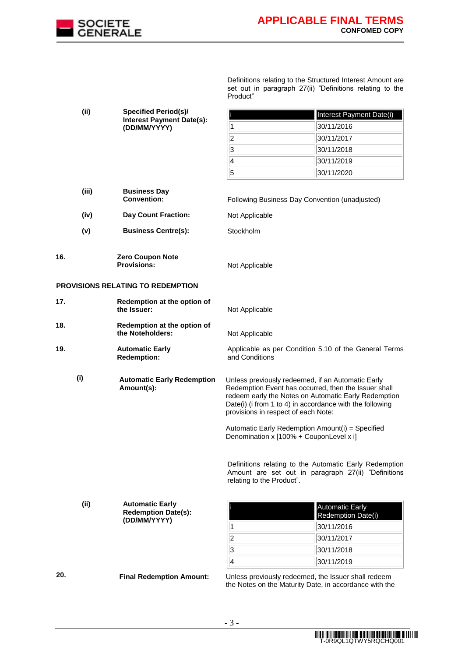

Definitions relating to the Structured Interest Amount are set out in paragraph 27(ii) "Definitions relating to the Product"

| (ii)  | <b>Specified Period(s)/</b>                                          | Interest Payment Date(i)                                                                                                                                                                                                                                             |
|-------|----------------------------------------------------------------------|----------------------------------------------------------------------------------------------------------------------------------------------------------------------------------------------------------------------------------------------------------------------|
|       | <b>Interest Payment Date(s):</b><br>(DD/MM/YYYY)                     | 30/11/2016<br>1                                                                                                                                                                                                                                                      |
|       |                                                                      | $\overline{2}$<br>30/11/2017                                                                                                                                                                                                                                         |
|       |                                                                      | 3<br>30/11/2018                                                                                                                                                                                                                                                      |
|       |                                                                      | $\overline{\mathbf{4}}$<br>30/11/2019                                                                                                                                                                                                                                |
|       |                                                                      | 5<br>30/11/2020                                                                                                                                                                                                                                                      |
| (iii) | <b>Business Day</b><br><b>Convention:</b>                            | Following Business Day Convention (unadjusted)                                                                                                                                                                                                                       |
| (iv)  | <b>Day Count Fraction:</b>                                           | Not Applicable                                                                                                                                                                                                                                                       |
| (v)   | <b>Business Centre(s):</b>                                           | Stockholm                                                                                                                                                                                                                                                            |
| 16.   | Zero Coupon Note<br><b>Provisions:</b>                               | Not Applicable                                                                                                                                                                                                                                                       |
|       | PROVISIONS RELATING TO REDEMPTION                                    |                                                                                                                                                                                                                                                                      |
| 17.   | Redemption at the option of<br>the Issuer:                           | Not Applicable                                                                                                                                                                                                                                                       |
| 18.   | Redemption at the option of<br>the Noteholders:                      | Not Applicable                                                                                                                                                                                                                                                       |
| 19.   | <b>Automatic Early</b><br><b>Redemption:</b>                         | Applicable as per Condition 5.10 of the General Terms<br>and Conditions                                                                                                                                                                                              |
| (i)   | <b>Automatic Early Redemption</b><br>Amount(s):                      | Unless previously redeemed, if an Automatic Early<br>Redemption Event has occurred, then the Issuer shall<br>redeem early the Notes on Automatic Early Redemption<br>Date(i) (i from 1 to 4) in accordance with the following<br>provisions in respect of each Note: |
|       |                                                                      | Automatic Early Redemption Amount(i) = Specified<br>Denomination x [100% + CouponLevel x i]                                                                                                                                                                          |
|       |                                                                      | Definitions relating to the Automatic Early Redemption<br>Amount are set out in paragraph 27(ii) "Definitions<br>relating to the Product".                                                                                                                           |
| (ii)  | <b>Automatic Early</b><br><b>Redemption Date(s):</b><br>(DD/MM/YYYY) | <b>Automatic Early</b><br>Redemption Date(i)<br>30/11/2016<br>1                                                                                                                                                                                                      |
|       |                                                                      | $ 2\rangle$<br>30/11/2017                                                                                                                                                                                                                                            |
|       |                                                                      | 3<br>30/11/2018                                                                                                                                                                                                                                                      |
|       |                                                                      | $\overline{\mathbf{4}}$<br>30/11/2019                                                                                                                                                                                                                                |
| 20.   | <b>Final Redemption Amount:</b>                                      | Unless previously redeemed, the Issuer shall redeem                                                                                                                                                                                                                  |

the Notes on the Maturity Date, in accordance with the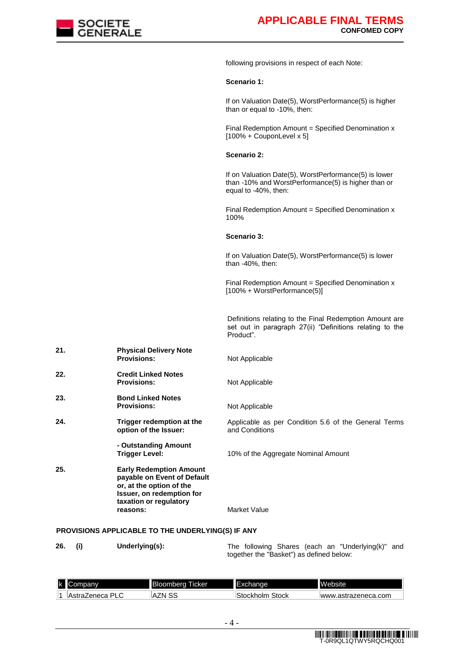

following provisions in respect of each Note:

#### **Scenario 1:**

If on Valuation Date(5), WorstPerformance(5) is higher than or equal to -10%, then:

Final Redemption Amount  $=$  Specified Denomination  $x$  $[100\% + \text{CouponLevel} \times 5]$ 

#### **Scenario 2:**

If on Valuation Date(5), WorstPerformance(5) is lower than -10% and WorstPerformance(5) is higher than or equal to -40%, then:

Final Redemption Amount = Specified Denomination x 100%

#### **Scenario 3:**

If on Valuation Date(5), WorstPerformance(5) is lower than -40%, then:

Final Redemption Amount = Specified Denomination  $x$ [100% + WorstPerformance(5)]

Definitions relating to the Final Redemption Amount are set out in paragraph 27(ii) "Definitions relating to the Product".

| 21. | <b>Physical Delivery Note</b><br><b>Provisions:</b>                                                                                                          | Not Applicable                                                         |
|-----|--------------------------------------------------------------------------------------------------------------------------------------------------------------|------------------------------------------------------------------------|
| 22. | <b>Credit Linked Notes</b><br><b>Provisions:</b>                                                                                                             | Not Applicable                                                         |
| 23. | <b>Bond Linked Notes</b><br><b>Provisions:</b>                                                                                                               | Not Applicable                                                         |
| 24. | Trigger redemption at the<br>option of the Issuer:                                                                                                           | Applicable as per Condition 5.6 of the General Terms<br>and Conditions |
|     | - Outstanding Amount<br>Trigger Level:                                                                                                                       | 10% of the Aggregate Nominal Amount                                    |
| 25. | <b>Early Redemption Amount</b><br>payable on Event of Default<br>or, at the option of the<br>Issuer, on redemption for<br>taxation or regulatory<br>reasons: | <b>Market Value</b>                                                    |
|     |                                                                                                                                                              |                                                                        |

#### **PROVISIONS APPLICABLE TO THE UNDERLYING(S) IF ANY**

**26. (i) Underlying(s):** The following Shares (each an "Underlying(k)" and together the "Basket") as defined below:

| Ιk | banv                | IBk<br>cкer<br>oombera. | inae<br>⊏⊼⊍наг       | <b>IM</b><br>epsite            |
|----|---------------------|-------------------------|----------------------|--------------------------------|
|    | DI<br>As.<br>_eneca | 'N<br>⊬^<br>دى          | stock<br>ckho<br>oir | .astrazeneca.com<br><b>WWW</b> |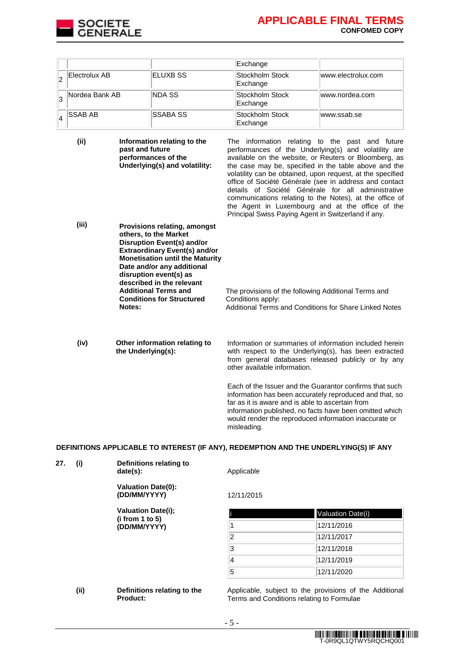

|                 |                 | Exchange                    |                    |
|-----------------|-----------------|-----------------------------|--------------------|
| Electrolux AB   | ELUXB SS        | Stockholm Stock<br>Exchange | www.electrolux.com |
| Nordea Bank AB  | <b>NDA SS</b>   | Stockholm Stock<br>Exchange | www.nordea.com     |
| <b>ISSAB AB</b> | <b>SSABA SS</b> | Stockholm Stock<br>Exchange | www.ssab.se        |

**(ii) Information relating to the past and future performances of the Underlying(s) and volatility:** The information relating to the past and future performances of the Underlying(s) and volatility are available on the website, or Reuters or Bloomberg, as the case may be, specified in the table above and the volatility can be obtained, upon request, at the specified office of Société Générale (see in address and contact details of Société Générale for all administrative communications relating to the Notes), at the office of the Agent in Luxembourg and at the office of the Principal Swiss Paying Agent in Switzerland if any. **(iii) Provisions relating, amongst others, to the Market Disruption Event(s) and/or Extraordinary Event(s) and/or Monetisation until the Maturity Date and/or any additional disruption event(s) as described in the relevant Additional Terms and Conditions for Structured Notes:**  The provisions of the following Additional Terms and Conditions apply: Additional Terms and Conditions for Share Linked Notes **(iv) Other information relating to the Underlying(s):** Information or summaries of information included herein

with respect to the Underlying(s), has been extracted from general databases released publicly or by any other available information.

Each of the Issuer and the Guarantor confirms that such information has been accurately reproduced and that, so far as it is aware and is able to ascertain from information published, no facts have been omitted which would render the reproduced information inaccurate or misleading.

#### **DEFINITIONS APPLICABLE TO INTEREST (IF ANY), REDEMPTION AND THE UNDERLYING(S) IF ANY**

| 27. | (i)  | Definitions relating to<br>date(s):            | Applicable |                                                                                           |
|-----|------|------------------------------------------------|------------|-------------------------------------------------------------------------------------------|
|     |      | <b>Valuation Date(0):</b><br>(DD/MM/YYYY)      | 12/11/2015 |                                                                                           |
|     |      | <b>Valuation Date(i);</b>                      |            | Valuation Date(i)                                                                         |
|     |      | (i from 1 to 5)<br>(DD/MM/YYYY)                |            | 12/11/2016                                                                                |
|     |      |                                                | 2          | 12/11/2017                                                                                |
|     |      |                                                | 3          | 12/11/2018                                                                                |
|     |      |                                                | 14         | 12/11/2019                                                                                |
|     |      |                                                | 5          | 12/11/2020                                                                                |
|     | (ii) | Definitions relating to the<br><b>Product:</b> |            | Applicable, subject to the provisions of the<br>Terms and Conditions relating to Formulae |

the Additional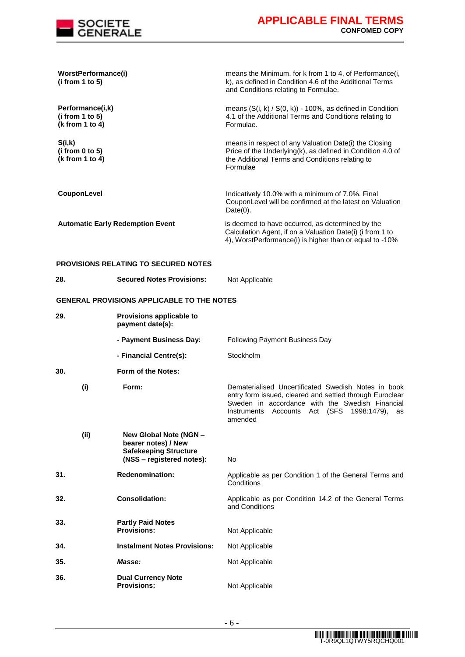

| WorstPerformance(i)<br>(i from 1 to 5)                 |                                                                                                            | means the Minimum, for k from 1 to 4, of Performance(i,<br>k), as defined in Condition 4.6 of the Additional Terms<br>and Conditions relating to Formulae.                                                                       |
|--------------------------------------------------------|------------------------------------------------------------------------------------------------------------|----------------------------------------------------------------------------------------------------------------------------------------------------------------------------------------------------------------------------------|
| Performance(i,k)<br>(i from 1 to 5)<br>(k from 1 to 4) |                                                                                                            | means $(S(i, k) / S(0, k)) - 100\%$ , as defined in Condition<br>4.1 of the Additional Terms and Conditions relating to<br>Formulae.                                                                                             |
| S(i,k)<br>(i from 0 to 5)<br>(k from 1 to 4)           |                                                                                                            | means in respect of any Valuation Date(i) the Closing<br>Price of the Underlying(k), as defined in Condition 4.0 of<br>the Additional Terms and Conditions relating to<br>Formulae                                               |
| CouponLevel                                            |                                                                                                            | Indicatively 10.0% with a minimum of 7.0%. Final<br>CouponLevel will be confirmed at the latest on Valuation<br>$Date(0)$ .                                                                                                      |
|                                                        | <b>Automatic Early Redemption Event</b>                                                                    | is deemed to have occurred, as determined by the<br>Calculation Agent, if on a Valuation Date(i) (i from 1 to<br>4), WorstPerformance(i) is higher than or equal to -10%                                                         |
|                                                        | <b>PROVISIONS RELATING TO SECURED NOTES</b>                                                                |                                                                                                                                                                                                                                  |
| 28.                                                    | <b>Secured Notes Provisions:</b>                                                                           | Not Applicable                                                                                                                                                                                                                   |
|                                                        | <b>GENERAL PROVISIONS APPLICABLE TO THE NOTES</b>                                                          |                                                                                                                                                                                                                                  |
| 29.                                                    | Provisions applicable to<br>payment date(s):                                                               |                                                                                                                                                                                                                                  |
|                                                        | - Payment Business Day:                                                                                    | <b>Following Payment Business Day</b>                                                                                                                                                                                            |
|                                                        | - Financial Centre(s):                                                                                     | Stockholm                                                                                                                                                                                                                        |
| 30.                                                    | Form of the Notes:                                                                                         |                                                                                                                                                                                                                                  |
| (i)                                                    | Form:                                                                                                      | Dematerialised Uncertificated Swedish Notes in book<br>entry form issued, cleared and settled through Euroclear<br>Sweden in accordance with the Swedish Financial<br>Instruments Accounts Act (SFS 1998:1479),<br>as<br>amended |
| (ii)                                                   | New Global Note (NGN -<br>bearer notes) / New<br><b>Safekeeping Structure</b><br>(NSS - registered notes): | No                                                                                                                                                                                                                               |
| 31.                                                    | <b>Redenomination:</b>                                                                                     | Applicable as per Condition 1 of the General Terms and<br>Conditions                                                                                                                                                             |
| 32.                                                    | <b>Consolidation:</b>                                                                                      | Applicable as per Condition 14.2 of the General Terms<br>and Conditions                                                                                                                                                          |
| 33.                                                    | <b>Partly Paid Notes</b><br><b>Provisions:</b>                                                             | Not Applicable                                                                                                                                                                                                                   |
| 34.                                                    | <b>Instalment Notes Provisions:</b>                                                                        | Not Applicable                                                                                                                                                                                                                   |
| 35.                                                    | Masse:                                                                                                     | Not Applicable                                                                                                                                                                                                                   |
| 36.                                                    | <b>Dual Currency Note</b><br><b>Provisions:</b>                                                            | Not Applicable                                                                                                                                                                                                                   |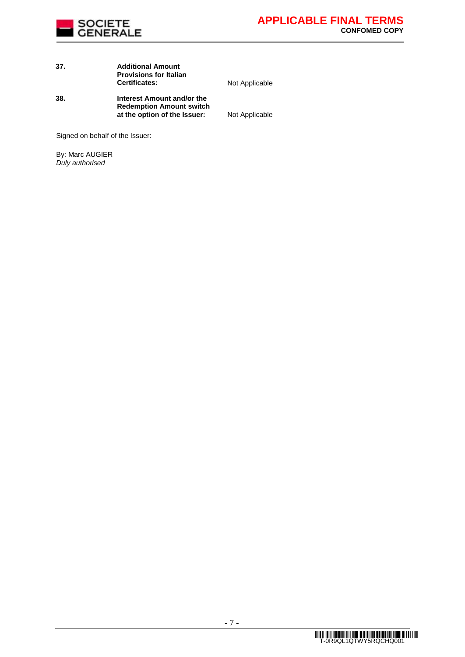

# **37. Additional Amount Provisions for Italian**

**Not Applicable** 

**38. Interest Amount and/or the Redemption Amount switch at the option of the Issuer:** Not Applicable

Signed on behalf of the Issuer:

By: Marc AUGIER *Duly authorised*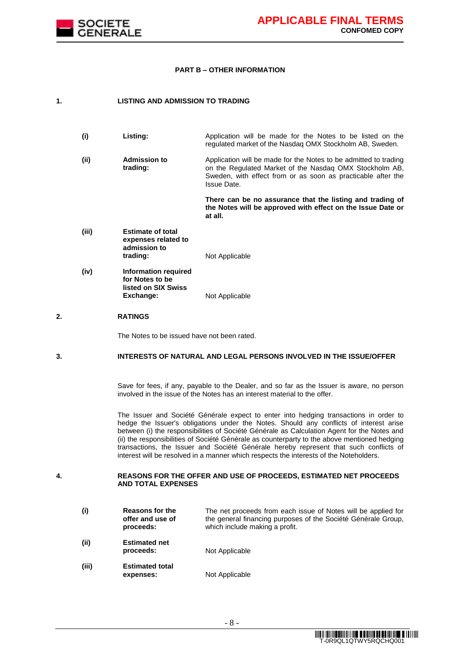

#### **PART B – OTHER INFORMATION**

#### **1. LISTING AND ADMISSION TO TRADING**

| (i)   | Listing:     | Application will be made for the Notes to be listed on the       |
|-------|--------------|------------------------------------------------------------------|
|       |              | regulated market of the Nasdag OMX Stockholm AB, Sweden.         |
| 7 Til | Admission to | Application will be made for the Notes to be admitted to trading |

**(ii) Admission to trading:** Application will be made for the Notes to be admitted to trading on the Regulated Market of the Nasdaq OMX Stockholm AB, Sweden, with effect from or as soon as practicable after the Issue Date.

> **There can be no assurance that the listing and trading of the Notes will be approved with effect on the Issue Date or at all.**

- **(iii) Estimate of total expenses related to admission to Not Applicable**
- **(iv) Information required for Notes to be listed on SIX Swiss Not Applicable**

#### **2. RATINGS**

The Notes to be issued have not been rated.

### **3. INTERESTS OF NATURAL AND LEGAL PERSONS INVOLVED IN THE ISSUE/OFFER**

Save for fees, if any, payable to the Dealer, and so far as the Issuer is aware, no person involved in the issue of the Notes has an interest material to the offer.

The Issuer and Société Générale expect to enter into hedging transactions in order to hedge the Issuer's obligations under the Notes. Should any conflicts of interest arise between (i) the responsibilities of Société Générale as Calculation Agent for the Notes and (ii) the responsibilities of Société Générale as counterparty to the above mentioned hedging transactions, the Issuer and Société Générale hereby represent that such conflicts of interest will be resolved in a manner which respects the interests of the Noteholders.

#### **4. REASONS FOR THE OFFER AND USE OF PROCEEDS, ESTIMATED NET PROCEEDS AND TOTAL EXPENSES**

**(i) Reasons for the offer and use of proceeds:** The net proceeds from each issue of Notes will be applied for the general financing purposes of the Société Générale Group, which include making a profit. **(ii) Estimated net Not Applicable (iii) Estimated total expenses:** Not Applicable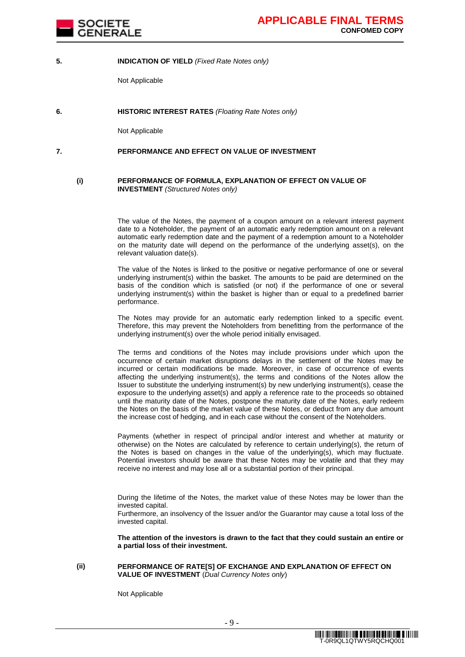

#### **5. INDICATION OF YIELD** *(Fixed Rate Notes only)*

Not Applicable

**6. HISTORIC INTEREST RATES** *(Floating Rate Notes only)*

Not Applicable

#### **7. PERFORMANCE AND EFFECT ON VALUE OF INVESTMENT**

#### **(i) PERFORMANCE OF FORMULA, EXPLANATION OF EFFECT ON VALUE OF INVESTMENT** *(Structured Notes only)*

The value of the Notes, the payment of a coupon amount on a relevant interest payment date to a Noteholder, the payment of an automatic early redemption amount on a relevant automatic early redemption date and the payment of a redemption amount to a Noteholder on the maturity date will depend on the performance of the underlying asset(s), on the relevant valuation date(s).

The value of the Notes is linked to the positive or negative performance of one or several underlying instrument(s) within the basket. The amounts to be paid are determined on the basis of the condition which is satisfied (or not) if the performance of one or several underlying instrument(s) within the basket is higher than or equal to a predefined barrier performance.

The Notes may provide for an automatic early redemption linked to a specific event. Therefore, this may prevent the Noteholders from benefitting from the performance of the underlying instrument(s) over the whole period initially envisaged.

The terms and conditions of the Notes may include provisions under which upon the occurrence of certain market disruptions delays in the settlement of the Notes may be incurred or certain modifications be made. Moreover, in case of occurrence of events affecting the underlying instrument(s), the terms and conditions of the Notes allow the Issuer to substitute the underlying instrument(s) by new underlying instrument(s), cease the exposure to the underlying asset(s) and apply a reference rate to the proceeds so obtained until the maturity date of the Notes, postpone the maturity date of the Notes, early redeem the Notes on the basis of the market value of these Notes, or deduct from any due amount the increase cost of hedging, and in each case without the consent of the Noteholders.

Payments (whether in respect of principal and/or interest and whether at maturity or otherwise) on the Notes are calculated by reference to certain underlying(s), the return of the Notes is based on changes in the value of the underlying(s), which may fluctuate. Potential investors should be aware that these Notes may be volatile and that they may receive no interest and may lose all or a substantial portion of their principal.

During the lifetime of the Notes, the market value of these Notes may be lower than the invested capital.

Furthermore, an insolvency of the Issuer and/or the Guarantor may cause a total loss of the invested capital.

**The attention of the investors is drawn to the fact that they could sustain an entire or a partial loss of their investment.**

#### **(ii) PERFORMANCE OF RATE[S] OF EXCHANGE AND EXPLANATION OF EFFECT ON VALUE OF INVESTMENT** (*Dual Currency Notes only*)

Not Applicable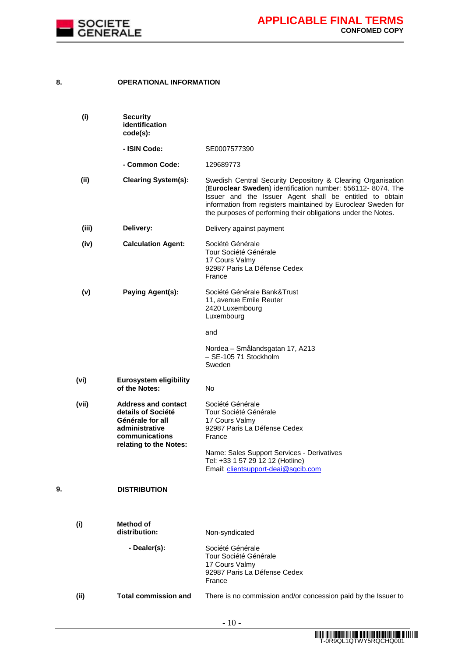

# **8. OPERATIONAL INFORMATION**

|    | (i)   | <b>Security</b><br>identification<br>code(s):                                                                                      |                                                                                                                                                                                                                                                                                                                         |
|----|-------|------------------------------------------------------------------------------------------------------------------------------------|-------------------------------------------------------------------------------------------------------------------------------------------------------------------------------------------------------------------------------------------------------------------------------------------------------------------------|
|    |       | - ISIN Code:                                                                                                                       | SE0007577390                                                                                                                                                                                                                                                                                                            |
|    |       | - Common Code:                                                                                                                     | 129689773                                                                                                                                                                                                                                                                                                               |
|    | (ii)  | <b>Clearing System(s):</b>                                                                                                         | Swedish Central Security Depository & Clearing Organisation<br>(Euroclear Sweden) identification number: 556112- 8074. The<br>Issuer and the Issuer Agent shall be entitled to obtain<br>information from registers maintained by Euroclear Sweden for<br>the purposes of performing their obligations under the Notes. |
|    | (iii) | Delivery:                                                                                                                          | Delivery against payment                                                                                                                                                                                                                                                                                                |
|    | (iv)  | <b>Calculation Agent:</b>                                                                                                          | Société Générale<br>Tour Société Générale<br>17 Cours Valmy<br>92987 Paris La Défense Cedex<br>France                                                                                                                                                                                                                   |
|    | (v)   | Paying Agent(s):                                                                                                                   | Société Générale Bank&Trust<br>11, avenue Emile Reuter<br>2420 Luxembourg<br>Luxembourg                                                                                                                                                                                                                                 |
|    |       |                                                                                                                                    | and                                                                                                                                                                                                                                                                                                                     |
|    |       |                                                                                                                                    | Nordea - Smålandsgatan 17, A213<br>- SE-105 71 Stockholm<br>Sweden                                                                                                                                                                                                                                                      |
|    | (vi)  | <b>Eurosystem eligibility</b><br>of the Notes:                                                                                     | No.                                                                                                                                                                                                                                                                                                                     |
|    | (vii) | <b>Address and contact</b><br>details of Société<br>Générale for all<br>administrative<br>communications<br>relating to the Notes: | Société Générale<br>Tour Société Générale<br>17 Cours Valmy<br>92987 Paris La Défense Cedex<br>France<br>Name: Sales Support Services - Derivatives<br>Tel: +33 1 57 29 12 12 (Hotline)<br>Email: clientsupport-deai@sgcib.com                                                                                          |
| 9. |       | <b>DISTRIBUTION</b>                                                                                                                |                                                                                                                                                                                                                                                                                                                         |
|    | (i)   | <b>Method of</b><br>distribution:                                                                                                  | Non-syndicated                                                                                                                                                                                                                                                                                                          |
|    |       | - Dealer(s):                                                                                                                       | Société Générale<br>Tour Société Générale<br>17 Cours Valmy<br>92987 Paris La Défense Cedex<br>France                                                                                                                                                                                                                   |
|    | (ii)  | <b>Total commission and</b>                                                                                                        | There is no commission and/or concession paid by the Issuer to                                                                                                                                                                                                                                                          |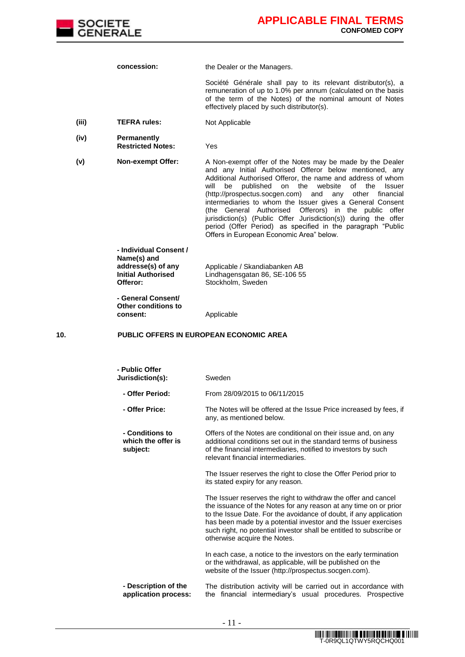

**concession:** the Dealer or the Managers.

Société Générale shall pay to its relevant distributor(s), a remuneration of up to 1.0% per annum (calculated on the basis of the term of the Notes) of the nominal amount of Notes effectively placed by such distributor(s).

- **(iii) TEFRA rules:** Not Applicable
- **(iv) Permanently Restricted Notes:** Yes

**(v) Non-exempt Offer:** A Non-exempt offer of the Notes may be made by the Dealer and any Initial Authorised Offeror below mentioned, any Additional Authorised Offeror, the name and address of whom will be published on the website of the Issuer (http://prospectus.socgen.com) and any other financial intermediaries to whom the Issuer gives a General Consent (the General Authorised Offerors) in the public offer jurisdiction(s) (Public Offer Jurisdiction(s)) during the offer period (Offer Period) as specified in the paragraph "Public Offers in European Economic Area" below.

> **- Individual Consent / Name(s) and addresse(s) of any Initial Authorised Offeror:**

Applicable / Skandiabanken AB Lindhagensgatan 86, SE-106 55 Stockholm, Sweden

**- General Consent/ Other conditions to** 

#### **10. PUBLIC OFFERS IN EUROPEAN ECONOMIC AREA**

**consent:** Applicable

| - Public Offer<br>Jurisdiction(s):                | Sweden                                                                                                                                                                                                                                                                                                                                                                           |
|---------------------------------------------------|----------------------------------------------------------------------------------------------------------------------------------------------------------------------------------------------------------------------------------------------------------------------------------------------------------------------------------------------------------------------------------|
| - Offer Period:                                   | From 28/09/2015 to 06/11/2015                                                                                                                                                                                                                                                                                                                                                    |
| - Offer Price:                                    | The Notes will be offered at the Issue Price increased by fees, if<br>any, as mentioned below.                                                                                                                                                                                                                                                                                   |
| - Conditions to<br>which the offer is<br>subject: | Offers of the Notes are conditional on their issue and, on any<br>additional conditions set out in the standard terms of business<br>of the financial intermediaries, notified to investors by such<br>relevant financial intermediaries.                                                                                                                                        |
|                                                   | The Issuer reserves the right to close the Offer Period prior to<br>its stated expiry for any reason.                                                                                                                                                                                                                                                                            |
|                                                   | The Issuer reserves the right to withdraw the offer and cancel<br>the issuance of the Notes for any reason at any time on or prior<br>to the Issue Date. For the avoidance of doubt, if any application<br>has been made by a potential investor and the Issuer exercises<br>such right, no potential investor shall be entitled to subscribe or<br>otherwise acquire the Notes. |
|                                                   | In each case, a notice to the investors on the early termination<br>or the withdrawal, as applicable, will be published on the<br>website of the Issuer (http://prospectus.socgen.com).                                                                                                                                                                                          |
| - Description of the<br>application process:      | The distribution activity will be carried out in accordance with<br>the financial intermediary's usual procedures. Prospective                                                                                                                                                                                                                                                   |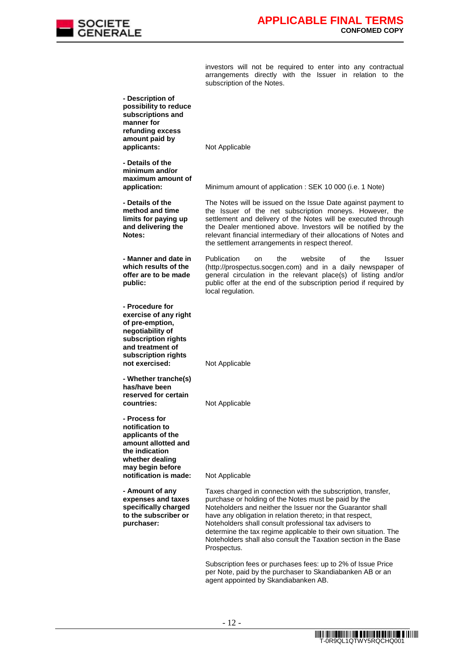

investors will not be required to enter into any contractual arrangements directly with the Issuer in relation to the subscription of the Notes.

| - Description of<br>possibility to reduce<br>subscriptions and<br>manner for<br>refunding excess                                                                    |                                                                                                                                                                                                                                                                                                                                                                                                                                                                |
|---------------------------------------------------------------------------------------------------------------------------------------------------------------------|----------------------------------------------------------------------------------------------------------------------------------------------------------------------------------------------------------------------------------------------------------------------------------------------------------------------------------------------------------------------------------------------------------------------------------------------------------------|
| amount paid by<br>applicants:                                                                                                                                       | Not Applicable                                                                                                                                                                                                                                                                                                                                                                                                                                                 |
| - Details of the<br>minimum and/or<br>maximum amount of<br>application:                                                                                             | Minimum amount of application: SEK 10 000 (i.e. 1 Note)                                                                                                                                                                                                                                                                                                                                                                                                        |
| - Details of the<br>method and time<br>limits for paying up<br>and delivering the<br>Notes:                                                                         | The Notes will be issued on the Issue Date against payment to<br>the Issuer of the net subscription moneys. However, the<br>settlement and delivery of the Notes will be executed through<br>the Dealer mentioned above. Investors will be notified by the<br>relevant financial intermediary of their allocations of Notes and<br>the settlement arrangements in respect thereof.                                                                             |
| - Manner and date in<br>which results of the<br>offer are to be made<br>public:                                                                                     | Publication<br>website<br>the<br>οf<br>the<br>on<br>Issuer<br>(http://prospectus.socgen.com) and in a daily newspaper of<br>general circulation in the relevant place(s) of listing and/or<br>public offer at the end of the subscription period if required by<br>local regulation.                                                                                                                                                                           |
| - Procedure for<br>exercise of any right<br>of pre-emption,<br>negotiability of<br>subscription rights<br>and treatment of<br>subscription rights<br>not exercised: | Not Applicable                                                                                                                                                                                                                                                                                                                                                                                                                                                 |
| - Whether tranche(s)<br>has/have been<br>reserved for certain<br>countries:                                                                                         | Not Applicable                                                                                                                                                                                                                                                                                                                                                                                                                                                 |
| - Process for<br>notification to<br>applicants of the<br>amount allotted and<br>the indication<br>whether dealing<br>may begin before<br>notification is made:      | Not Applicable                                                                                                                                                                                                                                                                                                                                                                                                                                                 |
| - Amount of any<br>expenses and taxes<br>specifically charged<br>to the subscriber or<br>purchaser:                                                                 | Taxes charged in connection with the subscription, transfer,<br>purchase or holding of the Notes must be paid by the<br>Noteholders and neither the Issuer nor the Guarantor shall<br>have any obligation in relation thereto; in that respect,<br>Noteholders shall consult professional tax advisers to<br>determine the tax regime applicable to their own situation. The<br>Noteholders shall also consult the Taxation section in the Base<br>Prospectus. |
|                                                                                                                                                                     | Subscription fees or purchases fees: up to 2% of Issue Price<br>per Note, paid by the purchaser to Skandiabanken AB or an<br>agent appointed by Skandiabanken AB.                                                                                                                                                                                                                                                                                              |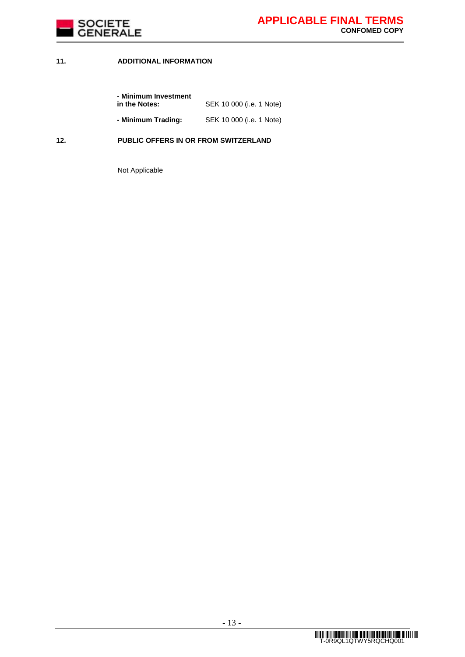

## **11. ADDITIONAL INFORMATION**

| - Minimum Investment |                          |
|----------------------|--------------------------|
| in the Notes:        | SEK 10 000 (i.e. 1 Note) |
| - Minimum Trading:   | SEK 10 000 (i.e. 1 Note) |

### **12. PUBLIC OFFERS IN OR FROM SWITZERLAND**

Not Applicable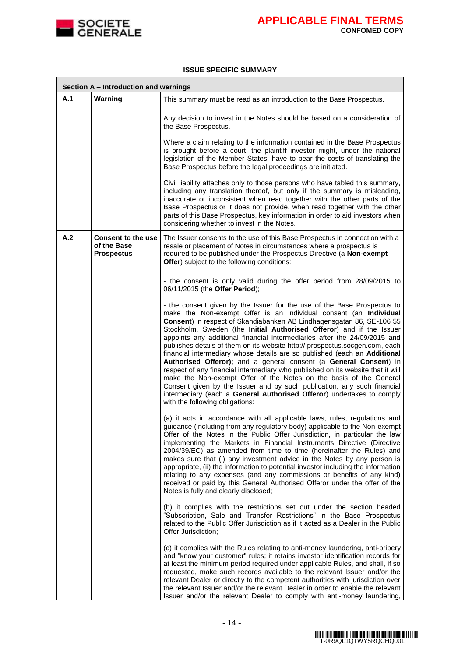

.

#### **ISSUE SPECIFIC SUMMARY**

|     | Section A - Introduction and warnings                         |                                                                                                                                                                                                                                                                                                                                                                                                                                                                                                                                                                                                                                                                                                                                                                                                                                                                                                                                                              |
|-----|---------------------------------------------------------------|--------------------------------------------------------------------------------------------------------------------------------------------------------------------------------------------------------------------------------------------------------------------------------------------------------------------------------------------------------------------------------------------------------------------------------------------------------------------------------------------------------------------------------------------------------------------------------------------------------------------------------------------------------------------------------------------------------------------------------------------------------------------------------------------------------------------------------------------------------------------------------------------------------------------------------------------------------------|
| A.1 | Warning                                                       | This summary must be read as an introduction to the Base Prospectus.                                                                                                                                                                                                                                                                                                                                                                                                                                                                                                                                                                                                                                                                                                                                                                                                                                                                                         |
|     |                                                               | Any decision to invest in the Notes should be based on a consideration of<br>the Base Prospectus.                                                                                                                                                                                                                                                                                                                                                                                                                                                                                                                                                                                                                                                                                                                                                                                                                                                            |
|     |                                                               | Where a claim relating to the information contained in the Base Prospectus<br>is brought before a court, the plaintiff investor might, under the national<br>legislation of the Member States, have to bear the costs of translating the<br>Base Prospectus before the legal proceedings are initiated.                                                                                                                                                                                                                                                                                                                                                                                                                                                                                                                                                                                                                                                      |
|     |                                                               | Civil liability attaches only to those persons who have tabled this summary,<br>including any translation thereof, but only if the summary is misleading,<br>inaccurate or inconsistent when read together with the other parts of the<br>Base Prospectus or it does not provide, when read together with the other<br>parts of this Base Prospectus, key information in order to aid investors when<br>considering whether to invest in the Notes.                                                                                                                                                                                                                                                                                                                                                                                                                                                                                                          |
| A.2 | <b>Consent to the use</b><br>of the Base<br><b>Prospectus</b> | The Issuer consents to the use of this Base Prospectus in connection with a<br>resale or placement of Notes in circumstances where a prospectus is<br>required to be published under the Prospectus Directive (a Non-exempt<br>Offer) subject to the following conditions:                                                                                                                                                                                                                                                                                                                                                                                                                                                                                                                                                                                                                                                                                   |
|     |                                                               | - the consent is only valid during the offer period from 28/09/2015 to<br>06/11/2015 (the Offer Period);                                                                                                                                                                                                                                                                                                                                                                                                                                                                                                                                                                                                                                                                                                                                                                                                                                                     |
|     |                                                               | - the consent given by the Issuer for the use of the Base Prospectus to<br>make the Non-exempt Offer is an individual consent (an Individual<br>Consent) in respect of Skandiabanken AB Lindhagensgatan 86, SE-106 55<br>Stockholm, Sweden (the Initial Authorised Offeror) and if the Issuer<br>appoints any additional financial intermediaries after the 24/09/2015 and<br>publishes details of them on its website http://.prospectus.socgen.com, each<br>financial intermediary whose details are so published (each an Additional<br>Authorised Offeror); and a general consent (a General Consent) in<br>respect of any financial intermediary who published on its website that it will<br>make the Non-exempt Offer of the Notes on the basis of the General<br>Consent given by the Issuer and by such publication, any such financial<br>intermediary (each a General Authorised Offeror) undertakes to comply<br>with the following obligations: |
|     |                                                               | (a) it acts in accordance with all applicable laws, rules, regulations and<br>guidance (including from any regulatory body) applicable to the Non-exempt<br>Offer of the Notes in the Public Offer Jurisdiction, in particular the law<br>implementing the Markets in Financial Instruments Directive (Directive<br>2004/39/EC) as amended from time to time (hereinafter the Rules) and<br>makes sure that (i) any investment advice in the Notes by any person is<br>appropriate, (ii) the information to potential investor including the information<br>relating to any expenses (and any commissions or benefits of any kind)<br>received or paid by this General Authorised Offeror under the offer of the<br>Notes is fully and clearly disclosed;                                                                                                                                                                                                    |
|     |                                                               | (b) it complies with the restrictions set out under the section headed<br>"Subscription, Sale and Transfer Restrictions" in the Base Prospectus<br>related to the Public Offer Jurisdiction as if it acted as a Dealer in the Public<br>Offer Jurisdiction;                                                                                                                                                                                                                                                                                                                                                                                                                                                                                                                                                                                                                                                                                                  |
|     |                                                               | (c) it complies with the Rules relating to anti-money laundering, anti-bribery<br>and "know your customer" rules; it retains investor identification records for<br>at least the minimum period required under applicable Rules, and shall, if so<br>requested, make such records available to the relevant Issuer and/or the<br>relevant Dealer or directly to the competent authorities with jurisdiction over<br>the relevant Issuer and/or the relevant Dealer in order to enable the relevant<br>Issuer and/or the relevant Dealer to comply with anti-money laundering,                                                                                                                                                                                                                                                                                                                                                                                |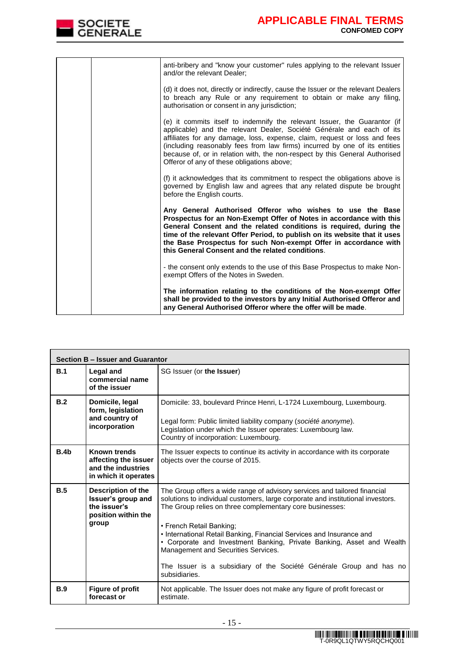

| anti-bribery and "know your customer" rules applying to the relevant Issuer<br>and/or the relevant Dealer;                                                                                                                                                                                                                                                                                                                                 |
|--------------------------------------------------------------------------------------------------------------------------------------------------------------------------------------------------------------------------------------------------------------------------------------------------------------------------------------------------------------------------------------------------------------------------------------------|
| (d) it does not, directly or indirectly, cause the Issuer or the relevant Dealers<br>to breach any Rule or any requirement to obtain or make any filing,<br>authorisation or consent in any jurisdiction;                                                                                                                                                                                                                                  |
| (e) it commits itself to indemnify the relevant Issuer, the Guarantor (if<br>applicable) and the relevant Dealer, Société Générale and each of its<br>affiliates for any damage, loss, expense, claim, request or loss and fees<br>(including reasonably fees from law firms) incurred by one of its entities<br>because of, or in relation with, the non-respect by this General Authorised<br>Offeror of any of these obligations above; |
| (f) it acknowledges that its commitment to respect the obligations above is<br>governed by English law and agrees that any related dispute be brought<br>before the English courts.                                                                                                                                                                                                                                                        |
| Any General Authorised Offeror who wishes to use the Base<br>Prospectus for an Non-Exempt Offer of Notes in accordance with this<br>General Consent and the related conditions is required, during the<br>time of the relevant Offer Period, to publish on its website that it uses<br>the Base Prospectus for such Non-exempt Offer in accordance with<br>this General Consent and the related conditions.                                |
| - the consent only extends to the use of this Base Prospectus to make Non-<br>exempt Offers of the Notes in Sweden.                                                                                                                                                                                                                                                                                                                        |
| The information relating to the conditions of the Non-exempt Offer<br>shall be provided to the investors by any Initial Authorised Offeror and<br>any General Authorised Offeror where the offer will be made.                                                                                                                                                                                                                             |

|                  | Section B - Issuer and Guarantor                                                                |                                                                                                                                                                                                                                                                                                                                                                                                                                                                                                                                      |
|------------------|-------------------------------------------------------------------------------------------------|--------------------------------------------------------------------------------------------------------------------------------------------------------------------------------------------------------------------------------------------------------------------------------------------------------------------------------------------------------------------------------------------------------------------------------------------------------------------------------------------------------------------------------------|
| B.1              | Legal and<br>commercial name<br>of the issuer                                                   | SG Issuer (or the Issuer)                                                                                                                                                                                                                                                                                                                                                                                                                                                                                                            |
| B.2              | Domicile, legal<br>form, legislation<br>and country of<br>incorporation                         | Domicile: 33, boulevard Prince Henri, L-1724 Luxembourg, Luxembourg.<br>Legal form: Public limited liability company (société anonyme).<br>Legislation under which the Issuer operates: Luxembourg law.<br>Country of incorporation: Luxembourg.                                                                                                                                                                                                                                                                                     |
| B.4 <sub>b</sub> | Known trends<br>affecting the issuer<br>and the industries<br>in which it operates              | The Issuer expects to continue its activity in accordance with its corporate<br>objects over the course of 2015.                                                                                                                                                                                                                                                                                                                                                                                                                     |
| B.5              | <b>Description of the</b><br>Issuer's group and<br>the issuer's<br>position within the<br>group | The Group offers a wide range of advisory services and tailored financial<br>solutions to individual customers, large corporate and institutional investors.<br>The Group relies on three complementary core businesses:<br>• French Retail Banking:<br>• International Retail Banking, Financial Services and Insurance and<br>• Corporate and Investment Banking, Private Banking, Asset and Wealth<br>Management and Securities Services.<br>The Issuer is a subsidiary of the Société Générale Group and has no<br>subsidiaries. |
| B.9              | <b>Figure of profit</b><br>forecast or                                                          | Not applicable. The Issuer does not make any figure of profit forecast or<br>estimate.                                                                                                                                                                                                                                                                                                                                                                                                                                               |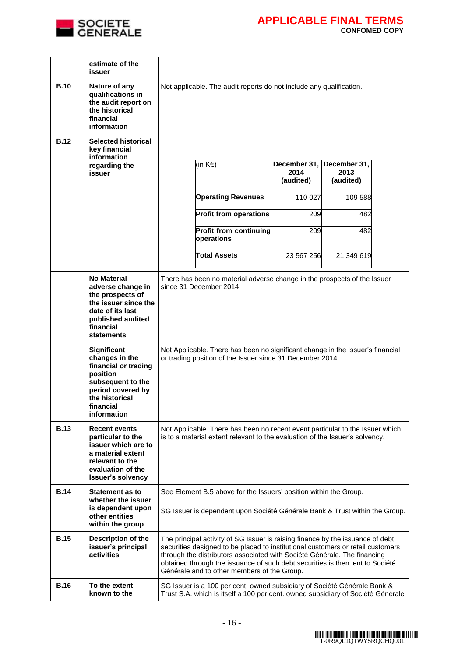

|             | estimate of the<br>issuer                                                                                                                                 |                                                                                                                                                                                                                                                                                                                                                                               |
|-------------|-----------------------------------------------------------------------------------------------------------------------------------------------------------|-------------------------------------------------------------------------------------------------------------------------------------------------------------------------------------------------------------------------------------------------------------------------------------------------------------------------------------------------------------------------------|
| <b>B.10</b> | Nature of any<br>qualifications in<br>the audit report on<br>the historical<br>financial<br>information                                                   | Not applicable. The audit reports do not include any qualification.                                                                                                                                                                                                                                                                                                           |
| <b>B.12</b> | <b>Selected historical</b><br>key financial<br>information<br>regarding the<br>issuer                                                                     | (in K€)<br>December 31,<br>December 31,<br>2014<br>2013<br>(audited)<br>(audited)                                                                                                                                                                                                                                                                                             |
|             |                                                                                                                                                           | <b>Operating Revenues</b><br>110 027<br>109 588                                                                                                                                                                                                                                                                                                                               |
|             |                                                                                                                                                           | <b>Profit from operations</b><br>209<br>482                                                                                                                                                                                                                                                                                                                                   |
|             |                                                                                                                                                           | <b>Profit from continuing</b><br>209<br>482<br>operations                                                                                                                                                                                                                                                                                                                     |
|             |                                                                                                                                                           | <b>Total Assets</b><br>21 349 619<br>23 567 256                                                                                                                                                                                                                                                                                                                               |
|             | No Material<br>adverse change in<br>the prospects of<br>the issuer since the<br>date of its last<br>published audited<br>financial<br><b>statements</b>   | There has been no material adverse change in the prospects of the Issuer<br>since 31 December 2014.                                                                                                                                                                                                                                                                           |
|             | Significant<br>changes in the<br>financial or trading<br>position<br>subsequent to the<br>period covered by<br>the historical<br>financial<br>information | Not Applicable. There has been no significant change in the Issuer's financial<br>or trading position of the Issuer since 31 December 2014.                                                                                                                                                                                                                                   |
| <b>B.13</b> | <b>Recent events</b><br>particular to the<br>issuer which are to<br>a material extent<br>relevant to the<br>evaluation of the<br><b>Issuer's solvency</b> | Not Applicable. There has been no recent event particular to the Issuer which<br>is to a material extent relevant to the evaluation of the Issuer's solvency.                                                                                                                                                                                                                 |
| <b>B.14</b> | <b>Statement as to</b><br>whether the issuer<br>is dependent upon<br>other entities<br>within the group                                                   | See Element B.5 above for the Issuers' position within the Group.<br>SG Issuer is dependent upon Société Générale Bank & Trust within the Group.                                                                                                                                                                                                                              |
| <b>B.15</b> | Description of the<br>issuer's principal<br>activities                                                                                                    | The principal activity of SG Issuer is raising finance by the issuance of debt<br>securities designed to be placed to institutional customers or retail customers<br>through the distributors associated with Société Générale. The financing<br>obtained through the issuance of such debt securities is then lent to Société<br>Générale and to other members of the Group. |
| <b>B.16</b> | To the extent<br>known to the                                                                                                                             | SG Issuer is a 100 per cent. owned subsidiary of Société Générale Bank &<br>Trust S.A. which is itself a 100 per cent. owned subsidiary of Société Générale                                                                                                                                                                                                                   |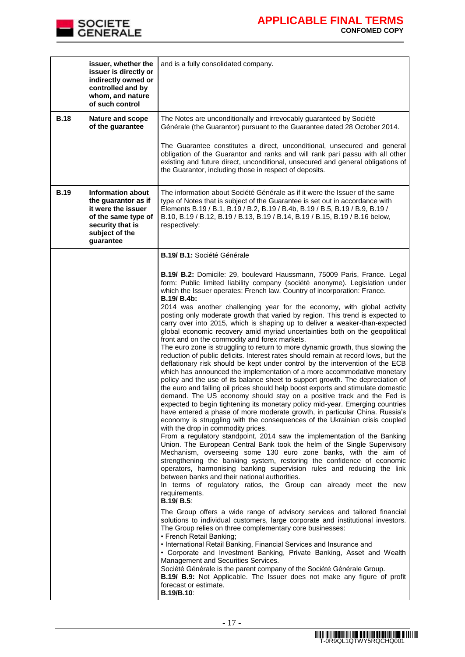

|             | issuer, whether the<br>issuer is directly or<br>indirectly owned or<br>controlled and by<br>whom, and nature<br>of such control          | and is a fully consolidated company.                                                                                                                                                                                                                                                                                                                                                                                                                                                                                                                                                                                                                                                                                                                                                                                                                                                                                                                                                                                                                                                                                                                                                                                                                                                                                                                                                                                                                                                                                                                                                                                                                                                                                                                                                                                                                                                                                                                                                                                                                                                                                                                                                                                                                                                                                                                                                                                                                                                                                                                                                                                                                                                                                                      |
|-------------|------------------------------------------------------------------------------------------------------------------------------------------|-------------------------------------------------------------------------------------------------------------------------------------------------------------------------------------------------------------------------------------------------------------------------------------------------------------------------------------------------------------------------------------------------------------------------------------------------------------------------------------------------------------------------------------------------------------------------------------------------------------------------------------------------------------------------------------------------------------------------------------------------------------------------------------------------------------------------------------------------------------------------------------------------------------------------------------------------------------------------------------------------------------------------------------------------------------------------------------------------------------------------------------------------------------------------------------------------------------------------------------------------------------------------------------------------------------------------------------------------------------------------------------------------------------------------------------------------------------------------------------------------------------------------------------------------------------------------------------------------------------------------------------------------------------------------------------------------------------------------------------------------------------------------------------------------------------------------------------------------------------------------------------------------------------------------------------------------------------------------------------------------------------------------------------------------------------------------------------------------------------------------------------------------------------------------------------------------------------------------------------------------------------------------------------------------------------------------------------------------------------------------------------------------------------------------------------------------------------------------------------------------------------------------------------------------------------------------------------------------------------------------------------------------------------------------------------------------------------------------------------------|
| <b>B.18</b> | Nature and scope<br>of the guarantee                                                                                                     | The Notes are unconditionally and irrevocably guaranteed by Société<br>Générale (the Guarantor) pursuant to the Guarantee dated 28 October 2014.<br>The Guarantee constitutes a direct, unconditional, unsecured and general<br>obligation of the Guarantor and ranks and will rank pari passu with all other<br>existing and future direct, unconditional, unsecured and general obligations of<br>the Guarantor, including those in respect of deposits.                                                                                                                                                                                                                                                                                                                                                                                                                                                                                                                                                                                                                                                                                                                                                                                                                                                                                                                                                                                                                                                                                                                                                                                                                                                                                                                                                                                                                                                                                                                                                                                                                                                                                                                                                                                                                                                                                                                                                                                                                                                                                                                                                                                                                                                                                |
| <b>B.19</b> | Information about<br>the guarantor as if<br>it were the issuer<br>of the same type of<br>security that is<br>subject of the<br>guarantee | The information about Société Générale as if it were the Issuer of the same<br>type of Notes that is subject of the Guarantee is set out in accordance with<br>Elements B.19 / B.1, B.19 / B.2, B.19 / B.4b, B.19 / B.5, B.19 / B.9, B.19 /<br>B.10, B.19 / B.12, B.19 / B.13, B.19 / B.14, B.19 / B.15, B.19 / B.16 below,<br>respectively:                                                                                                                                                                                                                                                                                                                                                                                                                                                                                                                                                                                                                                                                                                                                                                                                                                                                                                                                                                                                                                                                                                                                                                                                                                                                                                                                                                                                                                                                                                                                                                                                                                                                                                                                                                                                                                                                                                                                                                                                                                                                                                                                                                                                                                                                                                                                                                                              |
|             |                                                                                                                                          | B.19/ B.1: Société Générale<br><b>B.19/ B.2:</b> Domicile: 29, boulevard Haussmann, 75009 Paris, France. Legal<br>form: Public limited liability company (société anonyme). Legislation under<br>which the Issuer operates: French law. Country of incorporation: France.<br>B.19/ B.4b:<br>2014 was another challenging year for the economy, with global activity<br>posting only moderate growth that varied by region. This trend is expected to<br>carry over into 2015, which is shaping up to deliver a weaker-than-expected<br>global economic recovery amid myriad uncertainties both on the geopolitical<br>front and on the commodity and forex markets.<br>The euro zone is struggling to return to more dynamic growth, thus slowing the<br>reduction of public deficits. Interest rates should remain at record lows, but the<br>deflationary risk should be kept under control by the intervention of the ECB<br>which has announced the implementation of a more accommodative monetary<br>policy and the use of its balance sheet to support growth. The depreciation of<br>the euro and falling oil prices should help boost exports and stimulate domestic<br>demand. The US economy should stay on a positive track and the Fed is<br>expected to begin tightening its monetary policy mid-year. Emerging countries<br>have entered a phase of more moderate growth, in particular China. Russia's<br>economy is struggling with the consequences of the Ukrainian crisis coupled<br>with the drop in commodity prices.<br>From a regulatory standpoint, 2014 saw the implementation of the Banking<br>Union. The European Central Bank took the helm of the Single Supervisory<br>Mechanism, overseeing some 130 euro zone banks, with the aim of<br>strengthening the banking system, restoring the confidence of economic<br>operators, harmonising banking supervision rules and reducing the link<br>between banks and their national authorities.<br>In terms of regulatory ratios, the Group can already meet the new<br>requirements.<br><b>B.19/ B.5:</b><br>The Group offers a wide range of advisory services and tailored financial<br>solutions to individual customers, large corporate and institutional investors.<br>The Group relies on three complementary core businesses:<br>• French Retail Banking;<br>• International Retail Banking, Financial Services and Insurance and<br>• Corporate and Investment Banking, Private Banking, Asset and Wealth<br>Management and Securities Services.<br>Société Générale is the parent company of the Société Générale Group.<br>B.19/ B.9: Not Applicable. The Issuer does not make any figure of profit<br>forecast or estimate.<br><b>B.19/B.10:</b> |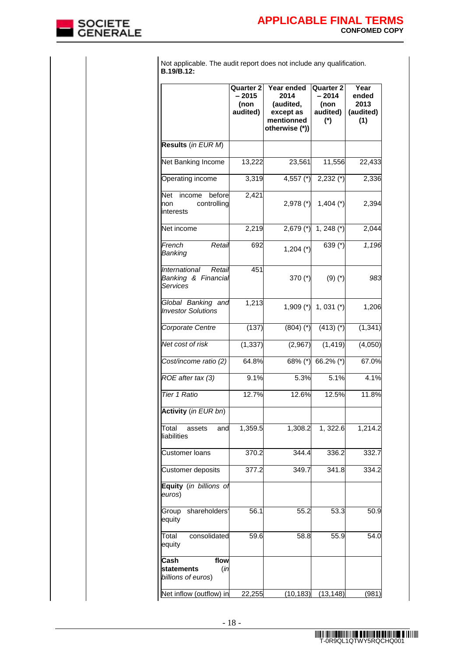

Not applicable. The audit report does not include any qualification. **B.19/B.12:**

|                                                                | <b>Quarter 2</b><br>$-2015$<br>(non<br>audited) | Year ended<br>2014<br>(audited,<br>except as<br>mentionned<br>otherwise (*)) | <b>Quarter 2</b><br>$-2014$<br>(non<br>audited)<br>$^{\ast}$ | Year<br>ended<br>2013<br>(audited)<br>(1) |
|----------------------------------------------------------------|-------------------------------------------------|------------------------------------------------------------------------------|--------------------------------------------------------------|-------------------------------------------|
| Results (in EUR M)                                             |                                                 |                                                                              |                                                              |                                           |
| Net Banking Income                                             | 13,222                                          | 23,561                                                                       | 11,556                                                       | 22,433                                    |
| Operating income                                               | 3,319                                           | 4,557 $(*)$                                                                  | $2,232$ (*)                                                  | 2,336                                     |
| Net<br>income<br>before<br>controlling<br>non<br>interests     | 2,421                                           | $2,978$ (*)                                                                  | $1,404$ (*)                                                  | 2,394                                     |
| Net income                                                     | 2,219                                           | 2,679 (*)                                                                    | $1, 248 (*)$                                                 | 2,044                                     |
| French<br>Retail<br>Banking                                    | 692                                             | $1,204 (*)$                                                                  | 639 (*)                                                      | 1,196                                     |
| International<br>Retail<br>Banking & Financial<br>Services     | 451                                             | 370 (*)                                                                      | $(9)(*)$                                                     | 983                                       |
| Global Banking and<br><b>Investor Solutions</b>                | 1,213                                           | $1,909$ (*)                                                                  | 1, 031 $(*)$                                                 | 1,206                                     |
| Corporate Centre                                               | (137)                                           | $(804)$ $(*)$                                                                | $(413)$ (*)                                                  | (1, 341)                                  |
| Net cost of risk                                               | (1, 337)                                        | (2,967)                                                                      | (1, 419)                                                     | (4,050)                                   |
| Cost/income ratio (2)                                          | 64.8%                                           | 68% (*)                                                                      | 66.2% (*)                                                    | 67.0%                                     |
| ROE after tax (3)                                              | 9.1%                                            | 5.3%                                                                         | 5.1%                                                         | 4.1%                                      |
| Tier 1 Ratio                                                   | 12.7%                                           | 12.6%                                                                        | 12.5%                                                        | 11.8%                                     |
| <b>Activity</b> (in EUR bn)                                    |                                                 |                                                                              |                                                              |                                           |
| Total<br>and<br>assets<br>liabilities                          | 1,359.5                                         | 1,308.2                                                                      | 1,322.6                                                      | 1,214.2                                   |
| <b>Customer loans</b>                                          | 370.2                                           | 344.4                                                                        | 336.2                                                        | 332.7                                     |
| Customer deposits                                              | 377.2                                           | 349.7                                                                        | 341.8                                                        | 334.2                                     |
| Equity (in billions of<br>euros)                               |                                                 |                                                                              |                                                              |                                           |
| Group shareholders'<br>equity                                  | 56.1                                            | 55.2                                                                         | 53.3                                                         | 50.9                                      |
| consolidated<br>Total<br>equity                                | 59.6                                            | 58.8                                                                         | 55.9                                                         | 54.0                                      |
| Cash<br>flow<br>(in<br><b>statements</b><br>billions of euros) |                                                 |                                                                              |                                                              |                                           |
| Net inflow (outflow) in                                        | 22,255                                          |                                                                              | $(10, 183)$ $(13, 148)$                                      | (981)                                     |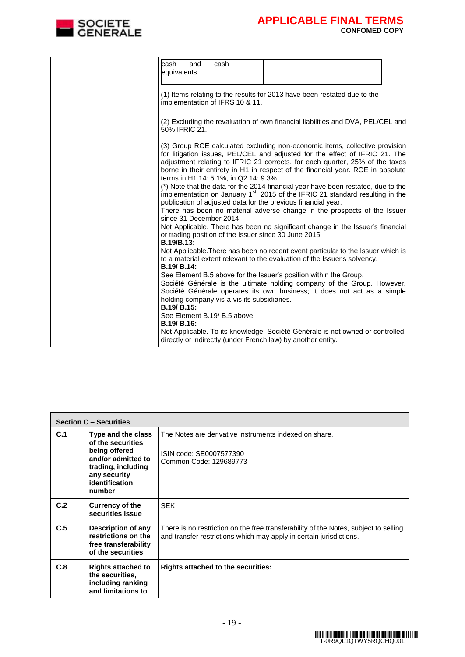

|  | cash<br>and<br>equivalents                                                                 | cash |                                                                                                                                                                                                                                                                                                                                                                                                                                                                                                                                                                                                                                                                                                                                                                                                          |  |  |
|--|--------------------------------------------------------------------------------------------|------|----------------------------------------------------------------------------------------------------------------------------------------------------------------------------------------------------------------------------------------------------------------------------------------------------------------------------------------------------------------------------------------------------------------------------------------------------------------------------------------------------------------------------------------------------------------------------------------------------------------------------------------------------------------------------------------------------------------------------------------------------------------------------------------------------------|--|--|
|  | implementation of IFRS 10 & 11.                                                            |      | (1) Items relating to the results for 2013 have been restated due to the                                                                                                                                                                                                                                                                                                                                                                                                                                                                                                                                                                                                                                                                                                                                 |  |  |
|  | 50% IFRIC 21.                                                                              |      | (2) Excluding the revaluation of own financial liabilities and DVA, PEL/CEL and                                                                                                                                                                                                                                                                                                                                                                                                                                                                                                                                                                                                                                                                                                                          |  |  |
|  | terms in H1 14: 5.1%, in Q2 14: 9.3%.<br>since 31 December 2014.<br><b>B.19/B.13:</b>      |      | (3) Group ROE calculated excluding non-economic items, collective provision<br>for litigation issues, PEL/CEL and adjusted for the effect of IFRIC 21. The<br>adjustment relating to IFRIC 21 corrects, for each quarter, 25% of the taxes<br>borne in their entirety in H1 in respect of the financial year. ROE in absolute<br>(*) Note that the data for the 2014 financial year have been restated, due to the<br>implementation on January 1 <sup>st</sup> , 2015 of the IFRIC 21 standard resulting in the<br>publication of adjusted data for the previous financial year.<br>There has been no material adverse change in the prospects of the Issuer<br>Not Applicable. There has been no significant change in the Issuer's financial<br>or trading position of the Issuer since 30 June 2015. |  |  |
|  | B.19/ B.14:                                                                                |      | Not Applicable. There has been no recent event particular to the Issuer which is<br>to a material extent relevant to the evaluation of the Issuer's solvency.                                                                                                                                                                                                                                                                                                                                                                                                                                                                                                                                                                                                                                            |  |  |
|  | holding company vis-à-vis its subsidiaries.<br>B.19/ B.15:<br>See Element B.19/ B.5 above. |      | See Element B.5 above for the Issuer's position within the Group.<br>Société Générale is the ultimate holding company of the Group. However,<br>Société Générale operates its own business; it does not act as a simple                                                                                                                                                                                                                                                                                                                                                                                                                                                                                                                                                                                  |  |  |
|  | <b>B.19/ B.16:</b>                                                                         |      | Not Applicable. To its knowledge, Société Générale is not owned or controlled,<br>directly or indirectly (under French law) by another entity.                                                                                                                                                                                                                                                                                                                                                                                                                                                                                                                                                                                                                                                           |  |  |

|     | <b>Section C - Securities</b>                                                                                                                    |                                                                                                                                                             |
|-----|--------------------------------------------------------------------------------------------------------------------------------------------------|-------------------------------------------------------------------------------------------------------------------------------------------------------------|
| C.1 | Type and the class<br>of the securities<br>being offered<br>and/or admitted to<br>trading, including<br>any security<br>identification<br>number | The Notes are derivative instruments indexed on share.<br>ISIN code: SE0007577390<br>Common Code: 129689773                                                 |
| C.2 | <b>Currency of the</b><br>securities issue                                                                                                       | <b>SEK</b>                                                                                                                                                  |
| C.5 | <b>Description of any</b><br>restrictions on the<br>free transferability<br>of the securities                                                    | There is no restriction on the free transferability of the Notes, subject to selling<br>and transfer restrictions which may apply in certain jurisdictions. |
| C.8 | <b>Rights attached to</b><br>the securities.<br>including ranking<br>and limitations to                                                          | <b>Rights attached to the securities:</b>                                                                                                                   |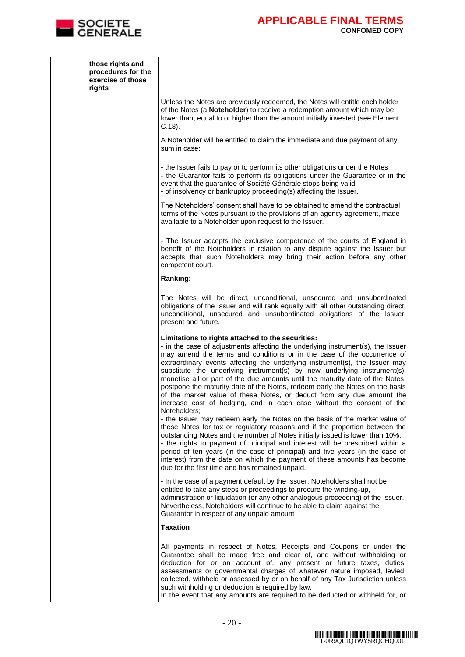

| those rights and<br>procedures for the<br>exercise of those<br>rights |                                                                                                                                                                                                                                                                                                                                                                                                                                                                                                                                                                                                                                                                                              |
|-----------------------------------------------------------------------|----------------------------------------------------------------------------------------------------------------------------------------------------------------------------------------------------------------------------------------------------------------------------------------------------------------------------------------------------------------------------------------------------------------------------------------------------------------------------------------------------------------------------------------------------------------------------------------------------------------------------------------------------------------------------------------------|
|                                                                       | Unless the Notes are previously redeemed, the Notes will entitle each holder<br>of the Notes (a Noteholder) to receive a redemption amount which may be<br>lower than, equal to or higher than the amount initially invested (see Element<br>$C.18$ ).                                                                                                                                                                                                                                                                                                                                                                                                                                       |
|                                                                       | A Noteholder will be entitled to claim the immediate and due payment of any<br>sum in case:                                                                                                                                                                                                                                                                                                                                                                                                                                                                                                                                                                                                  |
|                                                                       | - the Issuer fails to pay or to perform its other obligations under the Notes<br>- the Guarantor fails to perform its obligations under the Guarantee or in the<br>event that the guarantee of Société Générale stops being valid;<br>- of insolvency or bankruptcy proceeding(s) affecting the Issuer.                                                                                                                                                                                                                                                                                                                                                                                      |
|                                                                       | The Noteholders' consent shall have to be obtained to amend the contractual<br>terms of the Notes pursuant to the provisions of an agency agreement, made<br>available to a Noteholder upon request to the Issuer.                                                                                                                                                                                                                                                                                                                                                                                                                                                                           |
|                                                                       | - The Issuer accepts the exclusive competence of the courts of England in<br>benefit of the Noteholders in relation to any dispute against the Issuer but<br>accepts that such Noteholders may bring their action before any other<br>competent court.                                                                                                                                                                                                                                                                                                                                                                                                                                       |
|                                                                       | Ranking:                                                                                                                                                                                                                                                                                                                                                                                                                                                                                                                                                                                                                                                                                     |
|                                                                       | The Notes will be direct, unconditional, unsecured and unsubordinated<br>obligations of the Issuer and will rank equally with all other outstanding direct,<br>unconditional, unsecured and unsubordinated obligations of the Issuer,<br>present and future.                                                                                                                                                                                                                                                                                                                                                                                                                                 |
|                                                                       | Limitations to rights attached to the securities:<br>- in the case of adjustments affecting the underlying instrument(s), the Issuer<br>may amend the terms and conditions or in the case of the occurrence of<br>extraordinary events affecting the underlying instrument(s), the Issuer may<br>substitute the underlying instrument(s) by new underlying instrument(s),<br>monetise all or part of the due amounts until the maturity date of the Notes,<br>postpone the maturity date of the Notes, redeem early the Notes on the basis<br>of the market value of these Notes, or deduct from any due amount the<br>increase cost of hedging, and in each case without the consent of the |
|                                                                       | Noteholders;<br>- the Issuer may redeem early the Notes on the basis of the market value of<br>these Notes for tax or regulatory reasons and if the proportion between the<br>outstanding Notes and the number of Notes initially issued is lower than 10%;<br>- the rights to payment of principal and interest will be prescribed within a<br>period of ten years (in the case of principal) and five years (in the case of<br>interest) from the date on which the payment of these amounts has become<br>due for the first time and has remained unpaid.                                                                                                                                 |
|                                                                       | - In the case of a payment default by the Issuer, Noteholders shall not be<br>entitled to take any steps or proceedings to procure the winding-up,<br>administration or liquidation (or any other analogous proceeding) of the Issuer.<br>Nevertheless, Noteholders will continue to be able to claim against the<br>Guarantor in respect of any unpaid amount                                                                                                                                                                                                                                                                                                                               |
|                                                                       | Taxation                                                                                                                                                                                                                                                                                                                                                                                                                                                                                                                                                                                                                                                                                     |
|                                                                       | All payments in respect of Notes, Receipts and Coupons or under the<br>Guarantee shall be made free and clear of, and without withholding or<br>deduction for or on account of, any present or future taxes, duties,<br>assessments or governmental charges of whatever nature imposed, levied,<br>collected, withheld or assessed by or on behalf of any Tax Jurisdiction unless<br>such withholding or deduction is required by law.<br>In the event that any amounts are required to be deducted or withheld for, or                                                                                                                                                                      |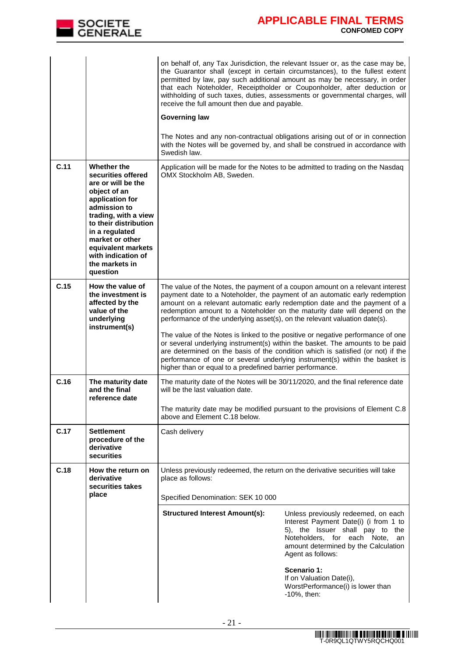

|      |                                                                                                                                                                                                                                                                            | receive the full amount then due and payable.<br><b>Governing law</b><br>Swedish law.                                                    | on behalf of, any Tax Jurisdiction, the relevant Issuer or, as the case may be,<br>the Guarantor shall (except in certain circumstances), to the fullest extent<br>permitted by law, pay such additional amount as may be necessary, in order<br>that each Noteholder, Receiptholder or Couponholder, after deduction or<br>withholding of such taxes, duties, assessments or governmental charges, will<br>The Notes and any non-contractual obligations arising out of or in connection<br>with the Notes will be governed by, and shall be construed in accordance with                                                                                  |
|------|----------------------------------------------------------------------------------------------------------------------------------------------------------------------------------------------------------------------------------------------------------------------------|------------------------------------------------------------------------------------------------------------------------------------------|-------------------------------------------------------------------------------------------------------------------------------------------------------------------------------------------------------------------------------------------------------------------------------------------------------------------------------------------------------------------------------------------------------------------------------------------------------------------------------------------------------------------------------------------------------------------------------------------------------------------------------------------------------------|
| C.11 | Whether the<br>securities offered<br>are or will be the<br>object of an<br>application for<br>admission to<br>trading, with a view<br>to their distribution<br>in a regulated<br>market or other<br>equivalent markets<br>with indication of<br>the markets in<br>question | OMX Stockholm AB, Sweden.                                                                                                                | Application will be made for the Notes to be admitted to trading on the Nasdaq                                                                                                                                                                                                                                                                                                                                                                                                                                                                                                                                                                              |
| C.15 | How the value of<br>the investment is<br>affected by the<br>value of the<br>underlying<br>instrument(s)                                                                                                                                                                    | performance of the underlying asset(s), on the relevant valuation date(s).<br>higher than or equal to a predefined barrier performance.  | The value of the Notes, the payment of a coupon amount on a relevant interest<br>payment date to a Noteholder, the payment of an automatic early redemption<br>amount on a relevant automatic early redemption date and the payment of a<br>redemption amount to a Noteholder on the maturity date will depend on the<br>The value of the Notes is linked to the positive or negative performance of one<br>or several underlying instrument(s) within the basket. The amounts to be paid<br>are determined on the basis of the condition which is satisfied (or not) if the<br>performance of one or several underlying instrument(s) within the basket is |
| C.16 | The maturity date<br>and the final<br>reference date                                                                                                                                                                                                                       | will be the last valuation date.<br>above and Element C.18 below.                                                                        | The maturity date of the Notes will be 30/11/2020, and the final reference date<br>The maturity date may be modified pursuant to the provisions of Element C.8                                                                                                                                                                                                                                                                                                                                                                                                                                                                                              |
| C.17 | <b>Settlement</b><br>procedure of the<br>derivative<br>securities                                                                                                                                                                                                          | Cash delivery                                                                                                                            |                                                                                                                                                                                                                                                                                                                                                                                                                                                                                                                                                                                                                                                             |
| C.18 | How the return on<br>derivative<br>securities takes<br>place                                                                                                                                                                                                               | Unless previously redeemed, the return on the derivative securities will take<br>place as follows:<br>Specified Denomination: SEK 10 000 |                                                                                                                                                                                                                                                                                                                                                                                                                                                                                                                                                                                                                                                             |
|      |                                                                                                                                                                                                                                                                            | <b>Structured Interest Amount(s):</b>                                                                                                    | Unless previously redeemed, on each<br>Interest Payment Date(i) (i from 1 to<br>5), the Issuer shall pay to the<br>Noteholders, for each Note,<br>an<br>amount determined by the Calculation<br>Agent as follows:                                                                                                                                                                                                                                                                                                                                                                                                                                           |
|      |                                                                                                                                                                                                                                                                            |                                                                                                                                          | Scenario 1:<br>If on Valuation Date(i),<br>WorstPerformance(i) is lower than<br>-10%, then:                                                                                                                                                                                                                                                                                                                                                                                                                                                                                                                                                                 |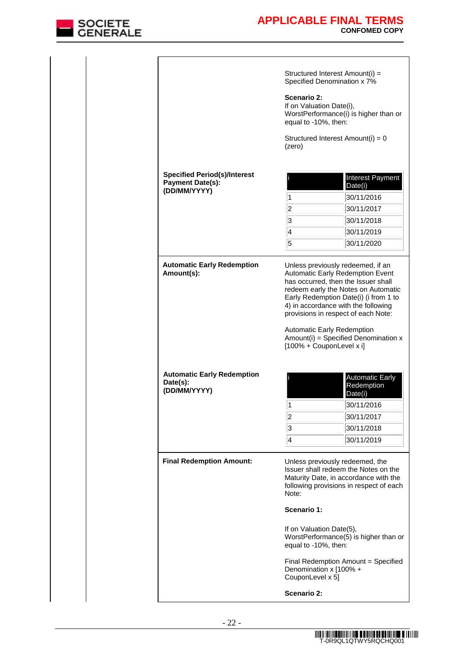

|                                                                                |                                                                 | Structured Interest Amount(i) =<br>Specified Denomination x 7%                                                                                                                                                                   |
|--------------------------------------------------------------------------------|-----------------------------------------------------------------|----------------------------------------------------------------------------------------------------------------------------------------------------------------------------------------------------------------------------------|
|                                                                                | Scenario 2:<br>If on Valuation Date(i),<br>equal to -10%, then: | WorstPerformance(i) is higher than or                                                                                                                                                                                            |
|                                                                                | (zero)                                                          | Structured Interest Amount(i) = 0                                                                                                                                                                                                |
|                                                                                |                                                                 |                                                                                                                                                                                                                                  |
| <b>Specified Period(s)/Interest</b><br><b>Payment Date(s):</b><br>(DD/MM/YYYY) |                                                                 | Interest Payment<br>Date(i)                                                                                                                                                                                                      |
|                                                                                | 1                                                               | 30/11/2016                                                                                                                                                                                                                       |
|                                                                                | $\overline{c}$                                                  | 30/11/2017                                                                                                                                                                                                                       |
|                                                                                | 3                                                               | 30/11/2018                                                                                                                                                                                                                       |
|                                                                                | $\overline{\mathbf{4}}$                                         | 30/11/2019                                                                                                                                                                                                                       |
|                                                                                | 5                                                               | 30/11/2020                                                                                                                                                                                                                       |
|                                                                                |                                                                 |                                                                                                                                                                                                                                  |
|                                                                                | [100% + CouponLevel x i]                                        | redeem early the Notes on Automatic<br>Early Redemption Date(i) (i from 1 to<br>4) in accordance with the following<br>provisions in respect of each Note:<br>Automatic Early Redemption<br>Amount(i) = Specified Denomination x |
| <b>Automatic Early Redemption</b><br>Date(s):<br>(DD/MM/YYYY)                  |                                                                 | Redemption<br>Date(i)                                                                                                                                                                                                            |
|                                                                                | 1                                                               |                                                                                                                                                                                                                                  |
|                                                                                | $\overline{c}$                                                  | 30/11/2016<br>30/11/2017                                                                                                                                                                                                         |
|                                                                                | 3                                                               | 30/11/2018                                                                                                                                                                                                                       |
|                                                                                | $\overline{4}$                                                  | 30/11/2019                                                                                                                                                                                                                       |
| <b>Final Redemption Amount:</b>                                                | Note:                                                           | Unless previously redeemed, the                                                                                                                                                                                                  |
|                                                                                | Scenario 1:                                                     | Automatic Early<br>Issuer shall redeem the Notes on the<br>Maturity Date, in accordance with the<br>following provisions in respect of each                                                                                      |
|                                                                                | If on Valuation Date(5),<br>equal to -10%, then:                | WorstPerformance(5) is higher than or                                                                                                                                                                                            |
|                                                                                | Denomination x [100% +<br>CouponLevel x 5]                      | Final Redemption Amount = Specified                                                                                                                                                                                              |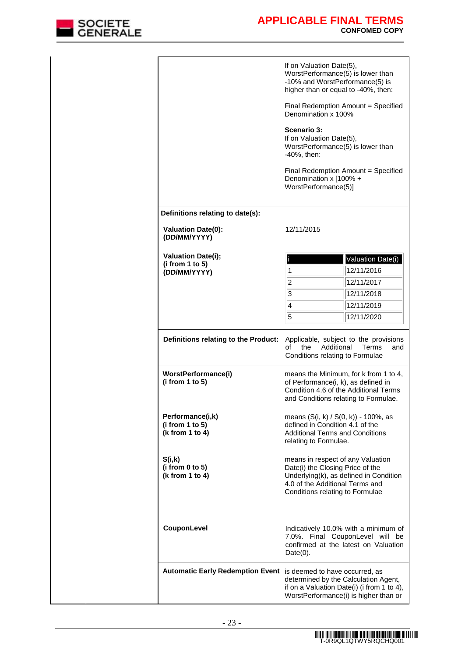

|                                                                 | If on Valuation Date(5),<br>WorstPerformance(5) is lower than<br>-10% and WorstPerformance(5) is                                                                                                                                                                                                                                                                                                                                                                      |                   |  |
|-----------------------------------------------------------------|-----------------------------------------------------------------------------------------------------------------------------------------------------------------------------------------------------------------------------------------------------------------------------------------------------------------------------------------------------------------------------------------------------------------------------------------------------------------------|-------------------|--|
|                                                                 | higher than or equal to -40%, then:<br>Final Redemption Amount = Specified<br>Denomination x 100%<br>Scenario 3:<br>If on Valuation Date(5),<br>WorstPerformance(5) is lower than<br>-40%, then:                                                                                                                                                                                                                                                                      |                   |  |
|                                                                 |                                                                                                                                                                                                                                                                                                                                                                                                                                                                       |                   |  |
|                                                                 |                                                                                                                                                                                                                                                                                                                                                                                                                                                                       |                   |  |
|                                                                 | Final Redemption Amount = Specified<br>Denomination x [100% +<br>WorstPerformance(5)]                                                                                                                                                                                                                                                                                                                                                                                 |                   |  |
| Definitions relating to date(s):                                |                                                                                                                                                                                                                                                                                                                                                                                                                                                                       |                   |  |
| <b>Valuation Date(0):</b><br>(DD/MM/YYYY)                       | 12/11/2015                                                                                                                                                                                                                                                                                                                                                                                                                                                            |                   |  |
| <b>Valuation Date(i);</b>                                       |                                                                                                                                                                                                                                                                                                                                                                                                                                                                       | Valuation Date(i) |  |
| (i from 1 to 5)<br>(DD/MM/YYYY)                                 | 1                                                                                                                                                                                                                                                                                                                                                                                                                                                                     | 12/11/2016        |  |
|                                                                 | $\overline{c}$                                                                                                                                                                                                                                                                                                                                                                                                                                                        | 12/11/2017        |  |
|                                                                 | 3                                                                                                                                                                                                                                                                                                                                                                                                                                                                     | 12/11/2018        |  |
|                                                                 | $\overline{\mathcal{A}}$                                                                                                                                                                                                                                                                                                                                                                                                                                              | 12/11/2019        |  |
|                                                                 | 5                                                                                                                                                                                                                                                                                                                                                                                                                                                                     | 12/11/2020        |  |
| Definitions relating to the Product:                            | Applicable, subject to the provisions<br>Additional<br>of<br>the<br>Conditions relating to Formulae                                                                                                                                                                                                                                                                                                                                                                   | Terms<br>and      |  |
| WorstPerformance(i)<br>(i from 1 to 5)                          | means the Minimum, for k from 1 to 4,<br>of Performance(i, k), as defined in<br>Condition 4.6 of the Additional Terms<br>and Conditions relating to Formulae.                                                                                                                                                                                                                                                                                                         |                   |  |
| Performance(i,k)<br>(i from 1 to 5)<br>(k from 1 to 4)          | means (S(i, k) / S(0, k)) - 100%, as<br>defined in Condition 4.1 of the<br><b>Additional Terms and Conditions</b><br>relating to Formulae.<br>means in respect of any Valuation<br>Date(i) the Closing Price of the<br>Underlying(k), as defined in Condition<br>4.0 of the Additional Terms and<br>Conditions relating to Formulae<br>Indicatively 10.0% with a minimum of<br>7.0%. Final CouponLevel will be<br>confirmed at the latest on Valuation<br>$Date(0)$ . |                   |  |
| S(i,k)<br>(i from 0 to 5)<br>(k from 1 to 4)                    |                                                                                                                                                                                                                                                                                                                                                                                                                                                                       |                   |  |
| CouponLevel                                                     |                                                                                                                                                                                                                                                                                                                                                                                                                                                                       |                   |  |
| Automatic Early Redemption Event is deemed to have occurred, as | determined by the Calculation Agent,<br>if on a Valuation Date(i) (i from 1 to 4),<br>WorstPerformance(i) is higher than or                                                                                                                                                                                                                                                                                                                                           |                   |  |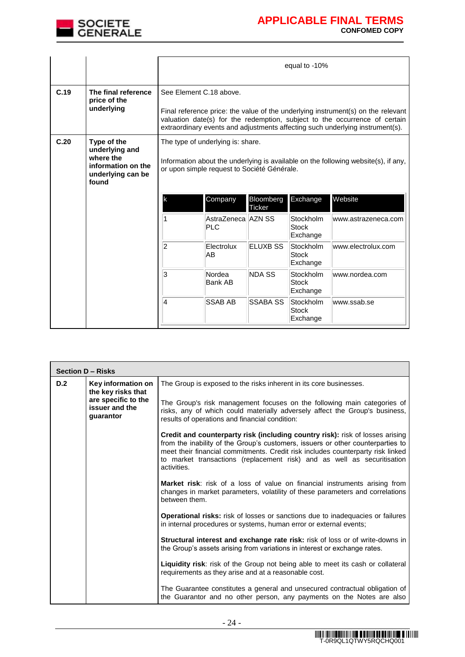

|      |                                                                                                | equal to -10%                                                                                                                                                                                                                                                              |                                  |                 |                                       |                     |
|------|------------------------------------------------------------------------------------------------|----------------------------------------------------------------------------------------------------------------------------------------------------------------------------------------------------------------------------------------------------------------------------|----------------------------------|-----------------|---------------------------------------|---------------------|
| C.19 | The final reference<br>price of the<br>underlying                                              | See Element C.18 above.<br>Final reference price: the value of the underlying instrument(s) on the relevant<br>valuation date(s) for the redemption, subject to the occurrence of certain<br>extraordinary events and adjustments affecting such underlying instrument(s). |                                  |                 |                                       |                     |
| C.20 | Type of the<br>underlying and<br>where the<br>information on the<br>underlying can be<br>found | The type of underlying is: share.<br>Information about the underlying is available on the following website(s), if any,<br>or upon simple request to Société Générale.<br>Exchange<br>Company<br>Bloomberg<br>lk                                                           |                                  |                 |                                       | Website             |
|      |                                                                                                |                                                                                                                                                                                                                                                                            | AstraZeneca AZN SS<br><b>PLC</b> | Ticker          | <b>Stockholm</b><br>Stock<br>Exchange | www.astrazeneca.com |
|      | $\overline{2}$<br>AB                                                                           |                                                                                                                                                                                                                                                                            | Electrolux                       | <b>ELUXB SS</b> | Stockholm<br><b>Stock</b><br>Exchange | www.electrolux.com  |
|      | 3<br><b>NDA SS</b><br>Nordea<br>Stockholm<br>Bank AB<br>Stock<br>Exchange                      |                                                                                                                                                                                                                                                                            |                                  |                 |                                       | www.nordea.com      |
|      |                                                                                                | $\overline{\mathbf{4}}$                                                                                                                                                                                                                                                    | <b>SSAB AB</b>                   | SSABA SS        | Stockholm<br><b>Stock</b><br>Exchange | www.ssab.se         |

|     | Section D - Risks                                  |                                                                                                                                                                                                                                                                                                                                               |  |  |
|-----|----------------------------------------------------|-----------------------------------------------------------------------------------------------------------------------------------------------------------------------------------------------------------------------------------------------------------------------------------------------------------------------------------------------|--|--|
| D.2 | Key information on<br>the key risks that           | The Group is exposed to the risks inherent in its core businesses.                                                                                                                                                                                                                                                                            |  |  |
|     | are specific to the<br>issuer and the<br>guarantor | The Group's risk management focuses on the following main categories of<br>risks, any of which could materially adversely affect the Group's business,<br>results of operations and financial condition:                                                                                                                                      |  |  |
|     |                                                    | Credit and counterparty risk (including country risk): risk of losses arising<br>from the inability of the Group's customers, issuers or other counterparties to<br>meet their financial commitments. Credit risk includes counterparty risk linked<br>to market transactions (replacement risk) and as well as securitisation<br>activities. |  |  |
|     |                                                    | <b>Market risk:</b> risk of a loss of value on financial instruments arising from<br>changes in market parameters, volatility of these parameters and correlations<br>between them.                                                                                                                                                           |  |  |
|     |                                                    | <b>Operational risks:</b> risk of losses or sanctions due to inadequacies or failures<br>in internal procedures or systems, human error or external events;                                                                                                                                                                                   |  |  |
|     |                                                    | Structural interest and exchange rate risk: risk of loss or of write-downs in<br>the Group's assets arising from variations in interest or exchange rates.                                                                                                                                                                                    |  |  |
|     |                                                    | Liquidity risk: risk of the Group not being able to meet its cash or collateral<br>requirements as they arise and at a reasonable cost.                                                                                                                                                                                                       |  |  |
|     |                                                    | The Guarantee constitutes a general and unsecured contractual obligation of<br>the Guarantor and no other person, any payments on the Notes are also                                                                                                                                                                                          |  |  |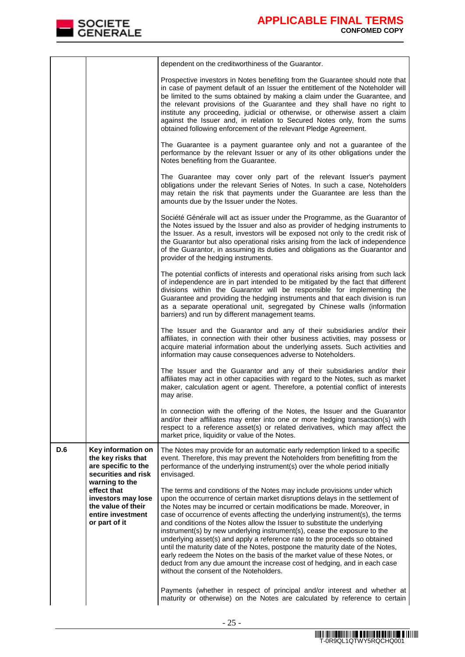

|            |                                                                                                                 | dependent on the creditworthiness of the Guarantor.                                                                                                                                                                                                                                                                                                                                                                                                                                                                                                                                                                                                                                                                                                                                                                                                    |
|------------|-----------------------------------------------------------------------------------------------------------------|--------------------------------------------------------------------------------------------------------------------------------------------------------------------------------------------------------------------------------------------------------------------------------------------------------------------------------------------------------------------------------------------------------------------------------------------------------------------------------------------------------------------------------------------------------------------------------------------------------------------------------------------------------------------------------------------------------------------------------------------------------------------------------------------------------------------------------------------------------|
|            |                                                                                                                 | Prospective investors in Notes benefiting from the Guarantee should note that<br>in case of payment default of an Issuer the entitlement of the Noteholder will<br>be limited to the sums obtained by making a claim under the Guarantee, and<br>the relevant provisions of the Guarantee and they shall have no right to<br>institute any proceeding, judicial or otherwise, or otherwise assert a claim<br>against the Issuer and, in relation to Secured Notes only, from the sums<br>obtained following enforcement of the relevant Pledge Agreement.                                                                                                                                                                                                                                                                                              |
|            |                                                                                                                 | The Guarantee is a payment guarantee only and not a guarantee of the<br>performance by the relevant Issuer or any of its other obligations under the<br>Notes benefiting from the Guarantee.                                                                                                                                                                                                                                                                                                                                                                                                                                                                                                                                                                                                                                                           |
|            |                                                                                                                 | The Guarantee may cover only part of the relevant Issuer's payment<br>obligations under the relevant Series of Notes. In such a case, Noteholders<br>may retain the risk that payments under the Guarantee are less than the<br>amounts due by the Issuer under the Notes.                                                                                                                                                                                                                                                                                                                                                                                                                                                                                                                                                                             |
|            |                                                                                                                 | Société Générale will act as issuer under the Programme, as the Guarantor of<br>the Notes issued by the Issuer and also as provider of hedging instruments to<br>the Issuer. As a result, investors will be exposed not only to the credit risk of<br>the Guarantor but also operational risks arising from the lack of independence<br>of the Guarantor, in assuming its duties and obligations as the Guarantor and<br>provider of the hedging instruments.                                                                                                                                                                                                                                                                                                                                                                                          |
|            |                                                                                                                 | The potential conflicts of interests and operational risks arising from such lack<br>of independence are in part intended to be mitigated by the fact that different<br>divisions within the Guarantor will be responsible for implementing the<br>Guarantee and providing the hedging instruments and that each division is run<br>as a separate operational unit, segregated by Chinese walls (information<br>barriers) and run by different management teams.                                                                                                                                                                                                                                                                                                                                                                                       |
|            |                                                                                                                 | The Issuer and the Guarantor and any of their subsidiaries and/or their<br>affiliates, in connection with their other business activities, may possess or<br>acquire material information about the underlying assets. Such activities and<br>information may cause consequences adverse to Noteholders.                                                                                                                                                                                                                                                                                                                                                                                                                                                                                                                                               |
|            |                                                                                                                 | The Issuer and the Guarantor and any of their subsidiaries and/or their<br>affiliates may act in other capacities with regard to the Notes, such as market<br>maker, calculation agent or agent. Therefore, a potential conflict of interests<br>may arise.                                                                                                                                                                                                                                                                                                                                                                                                                                                                                                                                                                                            |
|            |                                                                                                                 | In connection with the offering of the Notes, the Issuer and the Guarantor<br>and/or their affiliates may enter into one or more hedging transaction(s) with<br>respect to a reference asset(s) or related derivatives, which may affect the<br>market price, liquidity or value of the Notes.                                                                                                                                                                                                                                                                                                                                                                                                                                                                                                                                                         |
| <b>D.6</b> | Key information on<br>the key risks that<br>are specific to the<br>securities and risk                          | The Notes may provide for an automatic early redemption linked to a specific<br>event. Therefore, this may prevent the Noteholders from benefitting from the<br>performance of the underlying instrument(s) over the whole period initially<br>envisaged.                                                                                                                                                                                                                                                                                                                                                                                                                                                                                                                                                                                              |
|            | warning to the<br>effect that<br>investors may lose<br>the value of their<br>entire investment<br>or part of it | The terms and conditions of the Notes may include provisions under which<br>upon the occurrence of certain market disruptions delays in the settlement of<br>the Notes may be incurred or certain modifications be made. Moreover, in<br>case of occurrence of events affecting the underlying instrument(s), the terms<br>and conditions of the Notes allow the Issuer to substitute the underlying<br>instrument(s) by new underlying instrument(s), cease the exposure to the<br>underlying asset(s) and apply a reference rate to the proceeds so obtained<br>until the maturity date of the Notes, postpone the maturity date of the Notes,<br>early redeem the Notes on the basis of the market value of these Notes, or<br>deduct from any due amount the increase cost of hedging, and in each case<br>without the consent of the Noteholders. |
|            |                                                                                                                 | Payments (whether in respect of principal and/or interest and whether at<br>maturity or otherwise) on the Notes are calculated by reference to certain                                                                                                                                                                                                                                                                                                                                                                                                                                                                                                                                                                                                                                                                                                 |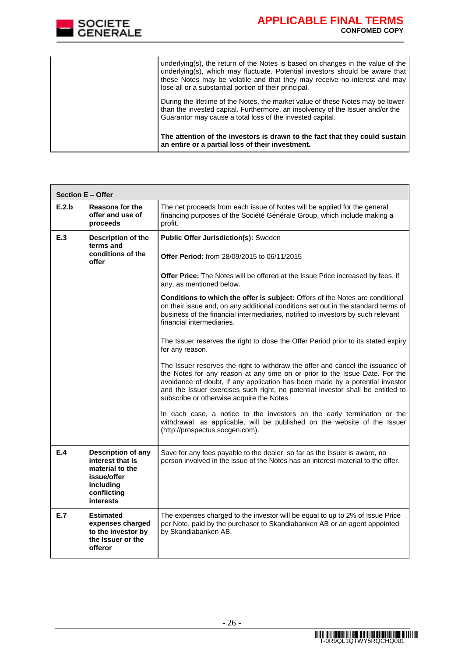

|  | The attention of the investors is drawn to the fact that they could sustain<br>an entire or a partial loss of their investment.                                                                                                                                                                      |
|--|------------------------------------------------------------------------------------------------------------------------------------------------------------------------------------------------------------------------------------------------------------------------------------------------------|
|  | During the lifetime of the Notes, the market value of these Notes may be lower<br>than the invested capital. Furthermore, an insolvency of the Issuer and/or the<br>Guarantor may cause a total loss of the invested capital.                                                                        |
|  | underlying(s), the return of the Notes is based on changes in the value of the<br>underlying(s), which may fluctuate. Potential investors should be aware that<br>these Notes may be volatile and that they may receive no interest and may<br>lose all or a substantial portion of their principal. |

| <b>Section E - Offer</b> |                                                                                                                   |                                                                                                                                                                                                                                                                                                                                                                               |
|--------------------------|-------------------------------------------------------------------------------------------------------------------|-------------------------------------------------------------------------------------------------------------------------------------------------------------------------------------------------------------------------------------------------------------------------------------------------------------------------------------------------------------------------------|
| E.2.b                    | <b>Reasons for the</b><br>offer and use of<br>proceeds                                                            | The net proceeds from each issue of Notes will be applied for the general<br>financing purposes of the Société Générale Group, which include making a<br>profit.                                                                                                                                                                                                              |
| E.3                      | Description of the<br>terms and<br>conditions of the<br>offer                                                     | Public Offer Jurisdiction(s): Sweden<br>Offer Period: from 28/09/2015 to 06/11/2015                                                                                                                                                                                                                                                                                           |
|                          |                                                                                                                   | Offer Price: The Notes will be offered at the Issue Price increased by fees, if<br>any, as mentioned below.                                                                                                                                                                                                                                                                   |
|                          |                                                                                                                   | Conditions to which the offer is subject: Offers of the Notes are conditional<br>on their issue and, on any additional conditions set out in the standard terms of<br>business of the financial intermediaries, notified to investors by such relevant<br>financial intermediaries.                                                                                           |
|                          |                                                                                                                   | The Issuer reserves the right to close the Offer Period prior to its stated expiry<br>for any reason.                                                                                                                                                                                                                                                                         |
|                          |                                                                                                                   | The Issuer reserves the right to withdraw the offer and cancel the issuance of<br>the Notes for any reason at any time on or prior to the Issue Date. For the<br>avoidance of doubt, if any application has been made by a potential investor<br>and the Issuer exercises such right, no potential investor shall be entitled to<br>subscribe or otherwise acquire the Notes. |
|                          |                                                                                                                   | In each case, a notice to the investors on the early termination or the<br>withdrawal, as applicable, will be published on the website of the Issuer<br>(http://prospectus.socgen.com).                                                                                                                                                                                       |
| E.4                      | Description of any<br>interest that is<br>material to the<br>issue/offer<br>including<br>conflicting<br>interests | Save for any fees payable to the dealer, so far as the Issuer is aware, no<br>person involved in the issue of the Notes has an interest material to the offer.                                                                                                                                                                                                                |
| E.7                      | <b>Estimated</b><br>expenses charged<br>to the investor by<br>the Issuer or the<br>offeror                        | The expenses charged to the investor will be equal to up to 2% of Issue Price<br>per Note, paid by the purchaser to Skandiabanken AB or an agent appointed<br>by Skandiabanken AB.                                                                                                                                                                                            |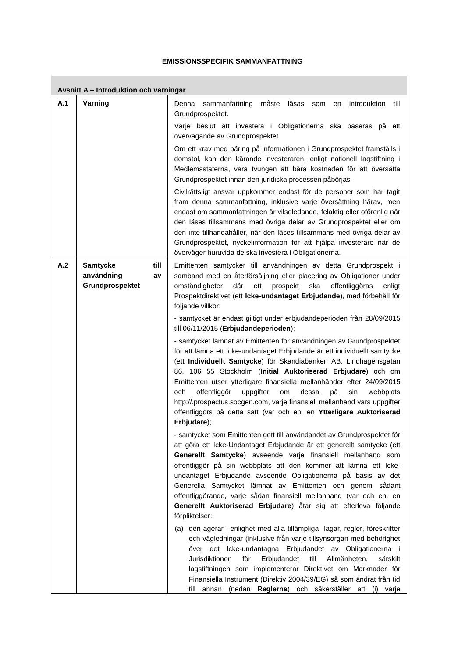### **EMISSIONSSPECIFIK SAMMANFATTNING**

П

|     | Avsnitt A - Introduktion och varningar                         |                                                                                                                                                                                                                                                                                                                                                                                                                                                                                                                                                                                                                   |  |  |  |  |  |
|-----|----------------------------------------------------------------|-------------------------------------------------------------------------------------------------------------------------------------------------------------------------------------------------------------------------------------------------------------------------------------------------------------------------------------------------------------------------------------------------------------------------------------------------------------------------------------------------------------------------------------------------------------------------------------------------------------------|--|--|--|--|--|
| A.1 | Varning                                                        | introduktion<br>sammanfattning<br>måste läsas<br>till<br>Denna<br>som<br>en<br>Grundprospektet.                                                                                                                                                                                                                                                                                                                                                                                                                                                                                                                   |  |  |  |  |  |
|     |                                                                | Varje beslut att investera i Obligationerna ska baseras på ett<br>övervägande av Grundprospektet.                                                                                                                                                                                                                                                                                                                                                                                                                                                                                                                 |  |  |  |  |  |
|     |                                                                | Om ett krav med bäring på informationen i Grundprospektet framställs i<br>domstol, kan den kärande investeraren, enligt nationell lagstiftning i<br>Medlemsstaterna, vara tvungen att bära kostnaden för att översätta<br>Grundprospektet innan den juridiska processen påbörjas.                                                                                                                                                                                                                                                                                                                                 |  |  |  |  |  |
|     |                                                                | Civilrättsligt ansvar uppkommer endast för de personer som har tagit<br>fram denna sammanfattning, inklusive varje översättning härav, men<br>endast om sammanfattningen är vilseledande, felaktig eller oförenlig när<br>den läses tillsammans med övriga delar av Grundprospektet eller om<br>den inte tillhandahåller, när den läses tillsammans med övriga delar av<br>Grundprospektet, nyckelinformation för att hjälpa investerare när de<br>överväger huruvida de ska investera i Obligationerna.                                                                                                          |  |  |  |  |  |
| A.2 | <b>Samtycke</b><br>till<br>användning<br>av<br>Grundprospektet | Emittenten samtycker till användningen av detta Grundprospekt i<br>samband med en återförsäljning eller placering av Obligationer under<br>där<br>omständigheter<br>ett<br>prospekt<br>ska<br>offentliggöras<br>enligt<br>Prospektdirektivet (ett Icke-undantaget Erbjudande), med förbehåll för<br>följande villkor:                                                                                                                                                                                                                                                                                             |  |  |  |  |  |
|     |                                                                | - samtycket är endast giltigt under erbjudandeperioden från 28/09/2015<br>till 06/11/2015 (Erbjudandeperioden);                                                                                                                                                                                                                                                                                                                                                                                                                                                                                                   |  |  |  |  |  |
|     |                                                                | - samtycket lämnat av Emittenten för användningen av Grundprospektet<br>för att lämna ett Icke-undantaget Erbjudande är ett individuellt samtycke<br>(ett Individuellt Samtycke) för Skandiabanken AB, Lindhagensgatan<br>86, 106 55 Stockholm (Initial Auktoriserad Erbjudare) och om<br>Emittenten utser ytterligare finansiella mellanhänder efter 24/09/2015<br>och<br>offentliggör<br>uppgifter<br>рå<br>dessa<br>sin<br>om<br>webbplats<br>http://.prospectus.socgen.com, varje finansiell mellanhand vars uppgifter<br>offentliggörs på detta sätt (var och en, en Ytterligare Auktoriserad<br>Erbjudare); |  |  |  |  |  |
|     |                                                                | - samtycket som Emittenten gett till användandet av Grundprospektet för<br>att göra ett Icke-Undantaget Erbjudande är ett generellt samtycke (ett<br>Generellt Samtycke) avseende varje finansiell mellanhand som<br>offentliggör på sin webbplats att den kommer att lämna ett Icke-<br>undantaget Erbjudande avseende Obligationerna på basis av det<br>Generella Samtycket lämnat av Emittenten och genom sådant<br>offentliggörande, varje sådan finansiell mellanhand (var och en, en<br>Generellt Auktoriserad Erbjudare) åtar sig att efterleva följande<br>förpliktelser:                                 |  |  |  |  |  |
|     |                                                                | (a) den agerar i enlighet med alla tillämpliga lagar, regler, föreskrifter<br>och vägledningar (inklusive från varje tillsynsorgan med behörighet<br>över det Icke-undantagna Erbjudandet av Obligationerna i<br>Jurisdiktionen<br>för<br>Erbjudandet<br>till<br>Allmänheten,<br>särskilt<br>lagstiftningen som implementerar Direktivet om Marknader för<br>Finansiella Instrument (Direktiv 2004/39/EG) så som ändrat från tid<br>till annan (nedan Reglerna) och säkerställer att (i) varje                                                                                                                    |  |  |  |  |  |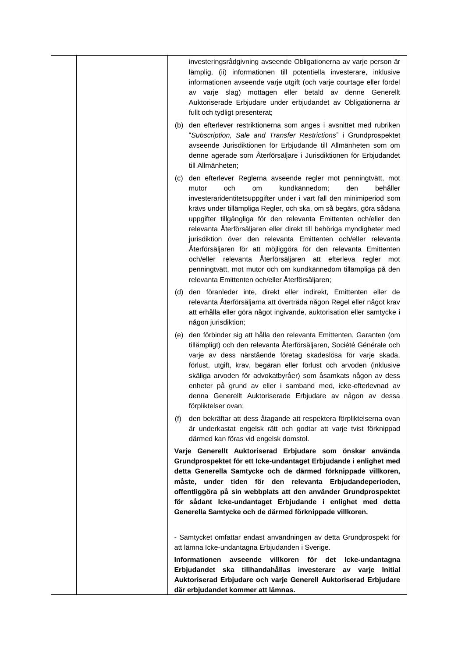| investeringsrådgivning avseende Obligationerna av varje person är<br>lämplig, (ii) informationen till potentiella investerare, inklusive<br>informationen avseende varje utgift (och varje courtage eller fördel<br>av varje slag) mottagen eller betald av denne Generellt<br>Auktoriserade Erbjudare under erbjudandet av Obligationerna är<br>fullt och tydligt presenterat;                                                                                                                                                                                                                                                                                                                                                                     |
|-----------------------------------------------------------------------------------------------------------------------------------------------------------------------------------------------------------------------------------------------------------------------------------------------------------------------------------------------------------------------------------------------------------------------------------------------------------------------------------------------------------------------------------------------------------------------------------------------------------------------------------------------------------------------------------------------------------------------------------------------------|
| den efterlever restriktionerna som anges i avsnittet med rubriken<br>(b)<br>"Subscription, Sale and Transfer Restrictions" i Grundprospektet<br>avseende Jurisdiktionen för Erbjudande till Allmänheten som om<br>denne agerade som Återförsäljare i Jurisdiktionen för Erbjudandet<br>till Allmänheten;                                                                                                                                                                                                                                                                                                                                                                                                                                            |
| den efterlever Reglerna avseende regler mot penningtvätt, mot<br>(C)<br>och<br>mutor<br>kundkännedom;<br>den<br>behåller<br>om<br>investeraridentitetsuppgifter under i vart fall den minimiperiod som<br>krävs under tillämpliga Regler, och ska, om så begärs, göra sådana<br>uppgifter tillgängliga för den relevanta Emittenten och/eller den<br>relevanta Återförsäljaren eller direkt till behöriga myndigheter med<br>jurisdiktion över den relevanta Emittenten och/eller relevanta<br>Återförsäljaren för att möjliggöra för den relevanta Emittenten<br>och/eller relevanta Återförsäljaren att efterleva regler mot<br>penningtvätt, mot mutor och om kundkännedom tillämpliga på den<br>relevanta Emittenten och/eller Återförsäljaren; |
| den föranleder inte, direkt eller indirekt, Emittenten eller de<br>(d)<br>relevanta Återförsäljarna att överträda någon Regel eller något krav<br>att erhålla eller göra något ingivande, auktorisation eller samtycke i<br>någon jurisdiktion;                                                                                                                                                                                                                                                                                                                                                                                                                                                                                                     |
| den förbinder sig att hålla den relevanta Emittenten, Garanten (om<br>(e)<br>tillämpligt) och den relevanta Återförsäljaren, Société Générale och<br>varje av dess närstående företag skadeslösa för varje skada,<br>förlust, utgift, krav, begäran eller förlust och arvoden (inklusive<br>skäliga arvoden för advokatbyråer) som åsamkats någon av dess<br>enheter på grund av eller i samband med, icke-efterlevnad av<br>denna Generellt Auktoriserade Erbjudare av någon av dessa<br>förpliktelser ovan;                                                                                                                                                                                                                                       |
| (f)<br>den bekräftar att dess åtagande att respektera förpliktelserna ovan<br>är underkastat engelsk rätt och godtar att varje tvist förknippad<br>därmed kan föras vid engelsk domstol.                                                                                                                                                                                                                                                                                                                                                                                                                                                                                                                                                            |
| Varje Generellt Auktoriserad Erbjudare som önskar använda<br>Grundprospektet för ett Icke-undantaget Erbjudande i enlighet med<br>detta Generella Samtycke och de därmed förknippade villkoren,<br>måste, under tiden för den relevanta Erbjudandeperioden,<br>offentliggöra på sin webbplats att den använder Grundprospektet<br>för sådant Icke-undantaget Erbjudande i enlighet med detta<br>Generella Samtycke och de därmed förknippade villkoren.                                                                                                                                                                                                                                                                                             |
| - Samtycket omfattar endast användningen av detta Grundprospekt för<br>att lämna Icke-undantagna Erbjudanden i Sverige.<br>Informationen avseende villkoren för det<br>Icke-undantagna<br>Erbjudandet ska tillhandahållas investerare av varje Initial<br>Auktoriserad Erbjudare och varje Generell Auktoriserad Erbjudare<br>där erbjudandet kommer att lämnas.                                                                                                                                                                                                                                                                                                                                                                                    |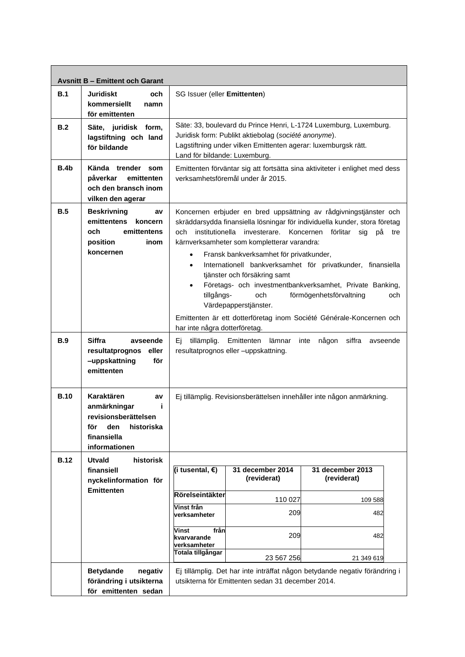|             | <b>Avsnitt B - Emittent och Garant</b>                                                                                    |                                                                                                                                                                                                                                                                                                                                                                                                                                                                                                                                                                                                                                                                                                                            |                                                                                                                                                                                                                              |                                                                                          |  |  |
|-------------|---------------------------------------------------------------------------------------------------------------------------|----------------------------------------------------------------------------------------------------------------------------------------------------------------------------------------------------------------------------------------------------------------------------------------------------------------------------------------------------------------------------------------------------------------------------------------------------------------------------------------------------------------------------------------------------------------------------------------------------------------------------------------------------------------------------------------------------------------------------|------------------------------------------------------------------------------------------------------------------------------------------------------------------------------------------------------------------------------|------------------------------------------------------------------------------------------|--|--|
| B.1         | <b>Juridiskt</b><br>och<br>kommersiellt<br>namn<br>för emittenten                                                         | SG Issuer (eller Emittenten)                                                                                                                                                                                                                                                                                                                                                                                                                                                                                                                                                                                                                                                                                               |                                                                                                                                                                                                                              |                                                                                          |  |  |
| B.2         | Säte, juridisk form,<br>lagstiftning och land<br>för bildande                                                             |                                                                                                                                                                                                                                                                                                                                                                                                                                                                                                                                                                                                                                                                                                                            | Säte: 33, boulevard du Prince Henri, L-1724 Luxemburg, Luxemburg.<br>Juridisk form: Publikt aktiebolag (société anonyme).<br>Lagstiftning under vilken Emittenten agerar: luxemburgsk rätt.<br>Land för bildande: Luxemburg. |                                                                                          |  |  |
| B.4b        | Kända trender som<br>påverkar<br>emittenten<br>och den bransch inom<br>vilken den agerar                                  | Emittenten förväntar sig att fortsätta sina aktiviteter i enlighet med dess<br>verksamhetsföremål under år 2015.                                                                                                                                                                                                                                                                                                                                                                                                                                                                                                                                                                                                           |                                                                                                                                                                                                                              |                                                                                          |  |  |
| B.5         | <b>Beskrivning</b><br>av<br>emittentens<br>koncern<br>och<br>emittentens<br>position<br>inom<br>koncernen                 | Koncernen erbjuder en bred uppsättning av rådgivningstjänster och<br>skräddarsydda finansiella lösningar för individuella kunder, stora företag<br>institutionella<br>och<br>investerare.<br>Koncernen<br>förlitar<br>sig<br>рå<br>tre<br>kärnverksamheter som kompletterar varandra:<br>Fransk bankverksamhet för privatkunder,<br>$\bullet$<br>Internationell bankverksamhet för privatkunder, finansiella<br>$\bullet$<br>tjänster och försäkring samt<br>Företags- och investmentbankverksamhet, Private Banking,<br>$\bullet$<br>tillgångs-<br>och<br>förmögenhetsförvaltning<br>och<br>Värdepapperstjänster.<br>Emittenten är ett dotterföretag inom Société Générale-Koncernen och<br>har inte några dotterföretag. |                                                                                                                                                                                                                              |                                                                                          |  |  |
| <b>B.9</b>  | <b>Siffra</b><br>avseende<br>resultatprognos<br>eller<br>-uppskattning<br>för<br>emittenten                               | siffra<br>tillämplig.<br>Emittenten lämnar<br>inte<br>någon<br>avseende<br>Ei.<br>resultatprognos eller -uppskattning.                                                                                                                                                                                                                                                                                                                                                                                                                                                                                                                                                                                                     |                                                                                                                                                                                                                              |                                                                                          |  |  |
| <b>B.10</b> | Karaktären<br>av<br>anmärkningar<br>i<br>revisionsherättelsen<br>den<br>historiska<br>för<br>finansiella<br>informationen | Ej tillämplig. Revisionsberättelsen innehåller inte någon anmärkning.                                                                                                                                                                                                                                                                                                                                                                                                                                                                                                                                                                                                                                                      |                                                                                                                                                                                                                              |                                                                                          |  |  |
| <b>B.12</b> | <b>Utvald</b><br>historisk<br>finansiell                                                                                  | (i tusental, €)                                                                                                                                                                                                                                                                                                                                                                                                                                                                                                                                                                                                                                                                                                            | 31 december 2014                                                                                                                                                                                                             | 31 december 2013                                                                         |  |  |
|             | nyckelinformation för                                                                                                     |                                                                                                                                                                                                                                                                                                                                                                                                                                                                                                                                                                                                                                                                                                                            | (reviderat)                                                                                                                                                                                                                  | (reviderat)                                                                              |  |  |
|             | <b>Emittenten</b>                                                                                                         | Rörelseintäkter                                                                                                                                                                                                                                                                                                                                                                                                                                                                                                                                                                                                                                                                                                            | 110 027                                                                                                                                                                                                                      | 109 588                                                                                  |  |  |
|             |                                                                                                                           | Vinst från<br>verksamheter                                                                                                                                                                                                                                                                                                                                                                                                                                                                                                                                                                                                                                                                                                 | 209                                                                                                                                                                                                                          | 482                                                                                      |  |  |
|             |                                                                                                                           | Vinst<br>från<br>kvarvarande<br>verksamheter<br>Totala tillgångar                                                                                                                                                                                                                                                                                                                                                                                                                                                                                                                                                                                                                                                          | 209<br>23 567 256                                                                                                                                                                                                            | 482                                                                                      |  |  |
|             | <b>Betydande</b><br>negativ<br>förändring i utsikterna<br>för emittenten sedan                                            |                                                                                                                                                                                                                                                                                                                                                                                                                                                                                                                                                                                                                                                                                                                            | utsikterna för Emittenten sedan 31 december 2014.                                                                                                                                                                            | 21 349 619<br>Ej tillämplig. Det har inte inträffat någon betydande negativ förändring i |  |  |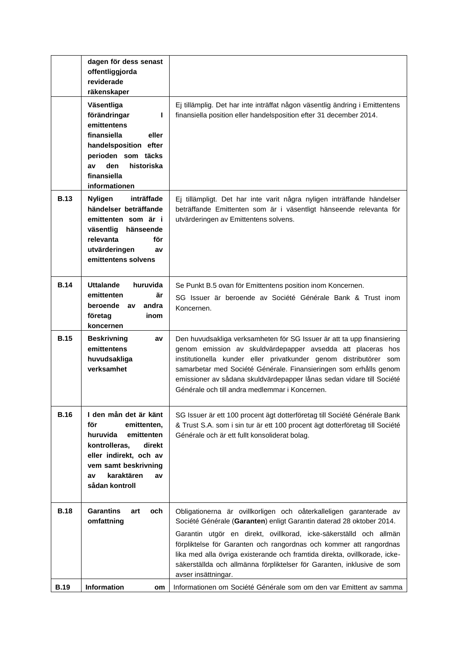|             | dagen för dess senast<br>offentliggjorda<br>reviderade<br>räkenskaper                                                                                                                          |                                                                                                                                                                                                                                                                                                                                                                                                            |
|-------------|------------------------------------------------------------------------------------------------------------------------------------------------------------------------------------------------|------------------------------------------------------------------------------------------------------------------------------------------------------------------------------------------------------------------------------------------------------------------------------------------------------------------------------------------------------------------------------------------------------------|
|             | Väsentliga<br>förändringar<br>ı<br>emittentens<br>finansiella<br>eller<br>handelsposition efter<br>perioden som täcks<br>den<br>historiska<br>av<br>finansiella<br>informationen               | Ej tillämplig. Det har inte inträffat någon väsentlig ändring i Emittentens<br>finansiella position eller handelsposition efter 31 december 2014.                                                                                                                                                                                                                                                          |
| <b>B.13</b> | inträffade<br><b>Nyligen</b><br>händelser beträffande<br>emittenten som är i<br>väsentlig<br>hänseende<br>relevanta<br>för<br>utvärderingen<br>av<br>emittentens solvens                       | Ej tillämpligt. Det har inte varit några nyligen inträffande händelser<br>beträffande Emittenten som är i väsentligt hänseende relevanta för<br>utvärderingen av Emittentens solvens.                                                                                                                                                                                                                      |
| <b>B.14</b> | <b>Uttalande</b><br>huruvida<br>emittenten<br>är<br>beroende av<br>andra<br>företag<br>inom<br>koncernen                                                                                       | Se Punkt B.5 ovan för Emittentens position inom Koncernen.<br>SG Issuer är beroende av Société Générale Bank & Trust inom<br>Koncernen.                                                                                                                                                                                                                                                                    |
| <b>B.15</b> | <b>Beskrivning</b><br>av<br>emittentens<br>huvudsakliga<br>verksamhet                                                                                                                          | Den huvudsakliga verksamheten för SG Issuer är att ta upp finansiering<br>genom emission av skuldvärdepapper avsedda att placeras hos<br>institutionella kunder eller privatkunder genom distributörer som<br>samarbetar med Société Générale. Finansieringen som erhålls genom<br>emissioner av sådana skuldvärdepapper lånas sedan vidare till Société<br>Générale och till andra medlemmar i Koncernen. |
| <b>B.16</b> | I den mån det är känt<br>för<br>emittenten,<br>huruvida<br>emittenten<br>kontrolleras,<br>direkt<br>eller indirekt, och av<br>vem samt beskrivning<br>karaktären<br>av<br>av<br>sådan kontroll | SG Issuer är ett 100 procent ägt dotterföretag till Société Générale Bank<br>& Trust S.A. som i sin tur är ett 100 procent ägt dotterföretag till Société<br>Générale och är ett fullt konsoliderat bolag.                                                                                                                                                                                                 |
| <b>B.18</b> | <b>Garantins</b><br>och<br>art<br>omfattning                                                                                                                                                   | Obligationerna är ovillkorligen och oåterkalleligen garanterade av<br>Société Générale (Garanten) enligt Garantin daterad 28 oktober 2014.<br>Garantin utgör en direkt, ovillkorad, icke-säkerställd och allmän                                                                                                                                                                                            |
|             |                                                                                                                                                                                                | förpliktelse för Garanten och rangordnas och kommer att rangordnas<br>lika med alla övriga existerande och framtida direkta, ovillkorade, icke-<br>säkerställda och allmänna förpliktelser för Garanten, inklusive de som<br>avser insättningar.                                                                                                                                                           |
| <b>B.19</b> | Information<br>om                                                                                                                                                                              | Informationen om Société Générale som om den var Emittent av samma                                                                                                                                                                                                                                                                                                                                         |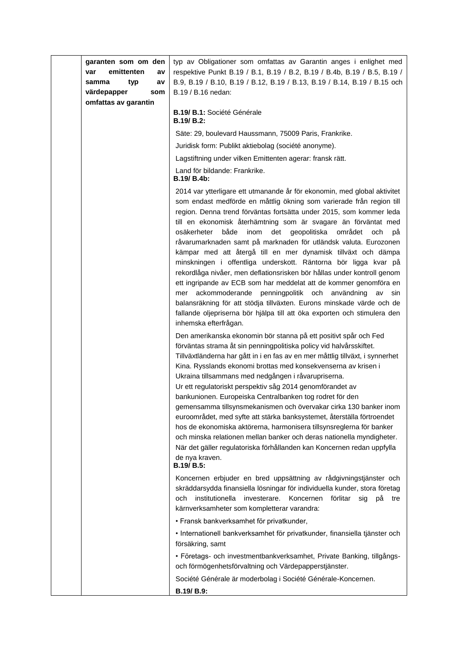| garanten som om den<br>emittenten<br>var<br>a٧<br>samma<br>typ<br>av<br>värdepapper<br>som<br>omfattas av garantin | typ av Obligationer som omfattas av Garantin anges i enlighet med<br>respektive Punkt B.19 / B.1, B.19 / B.2, B.19 / B.4b, B.19 / B.5, B.19 /<br>B.9, B.19 / B.10, B.19 / B.12, B.19 / B.13, B.19 / B.14, B.19 / B.15 och<br>B.19 / B.16 nedan:                                                                                                                                                                                                                                                                                                                                                                                                                                                                                                                                                                                                                                                                                                                                   |
|--------------------------------------------------------------------------------------------------------------------|-----------------------------------------------------------------------------------------------------------------------------------------------------------------------------------------------------------------------------------------------------------------------------------------------------------------------------------------------------------------------------------------------------------------------------------------------------------------------------------------------------------------------------------------------------------------------------------------------------------------------------------------------------------------------------------------------------------------------------------------------------------------------------------------------------------------------------------------------------------------------------------------------------------------------------------------------------------------------------------|
|                                                                                                                    | <b>B.19/ B.1: Société Générale</b><br><b>B.19/ B.2:</b>                                                                                                                                                                                                                                                                                                                                                                                                                                                                                                                                                                                                                                                                                                                                                                                                                                                                                                                           |
|                                                                                                                    | Säte: 29, boulevard Haussmann, 75009 Paris, Frankrike.                                                                                                                                                                                                                                                                                                                                                                                                                                                                                                                                                                                                                                                                                                                                                                                                                                                                                                                            |
|                                                                                                                    | Juridisk form: Publikt aktiebolag (société anonyme).                                                                                                                                                                                                                                                                                                                                                                                                                                                                                                                                                                                                                                                                                                                                                                                                                                                                                                                              |
|                                                                                                                    | Lagstiftning under vilken Emittenten agerar: fransk rätt.                                                                                                                                                                                                                                                                                                                                                                                                                                                                                                                                                                                                                                                                                                                                                                                                                                                                                                                         |
|                                                                                                                    | Land för bildande: Frankrike.<br><b>B.19/ B.4b:</b>                                                                                                                                                                                                                                                                                                                                                                                                                                                                                                                                                                                                                                                                                                                                                                                                                                                                                                                               |
|                                                                                                                    | 2014 var ytterligare ett utmanande år för ekonomin, med global aktivitet<br>som endast medförde en måttlig ökning som varierade från region till<br>region. Denna trend förväntas fortsätta under 2015, som kommer leda<br>till en ekonomisk återhämtning som är svagare än förväntat med<br>både<br>osäkerheter<br>inom<br>det<br>geopolitiska<br>området<br>och<br>рă<br>råvarumarknaden samt på marknaden för utländsk valuta. Eurozonen<br>kämpar med att återgå till en mer dynamisk tillväxt och dämpa<br>minskningen i offentliga underskott. Räntorna bör ligga kvar på<br>rekordlåga nivåer, men deflationsrisken bör hållas under kontroll genom<br>ett ingripande av ECB som har meddelat att de kommer genomföra en<br>ackommoderande penningpolitik och användning<br>mer<br>av<br>sin<br>balansräkning för att stödja tillväxten. Eurons minskade värde och de<br>fallande oljepriserna bör hjälpa till att öka exporten och stimulera den<br>inhemska efterfrågan. |
|                                                                                                                    | Den amerikanska ekonomin bör stanna på ett positivt spår och Fed<br>förväntas strama åt sin penningpolitiska policy vid halvårsskiftet.<br>Tillväxtländerna har gått in i en fas av en mer måttlig tillväxt, i synnerhet<br>Kina. Rysslands ekonomi brottas med konsekvenserna av krisen i<br>Ukraina tillsammans med nedgången i råvarupriserna.<br>Ur ett regulatoriskt perspektiv såg 2014 genomförandet av<br>bankunionen. Europeiska Centralbanken tog rodret för den<br>gemensamma tillsynsmekanismen och övervakar cirka 130 banker inom<br>euroområdet, med syfte att stärka banksystemet, återställa förtroendet<br>hos de ekonomiska aktörerna, harmonisera tillsynsreglerna för banker<br>och minska relationen mellan banker och deras nationella myndigheter.<br>När det gäller regulatoriska förhållanden kan Koncernen redan uppfylla<br>de nya kraven.<br>B.19/ B.5:                                                                                              |
|                                                                                                                    | Koncernen erbjuder en bred uppsättning av rådgivningstjänster och<br>skräddarsydda finansiella lösningar för individuella kunder, stora företag<br>institutionella<br>investerare.<br>Koncernen<br>och<br>förlitar<br>sig<br>рå<br>tre<br>kärnverksamheter som kompletterar varandra:<br>· Fransk bankverksamhet för privatkunder,<br>· Internationell bankverksamhet för privatkunder, finansiella tjänster och<br>försäkring, samt<br>· Företags- och investmentbankverksamhet, Private Banking, tillgångs-<br>och förmögenhetsförvaltning och Värdepapperstjänster.<br>Société Générale är moderbolag i Société Générale-Koncernen.<br>B.19/ B.9:                                                                                                                                                                                                                                                                                                                              |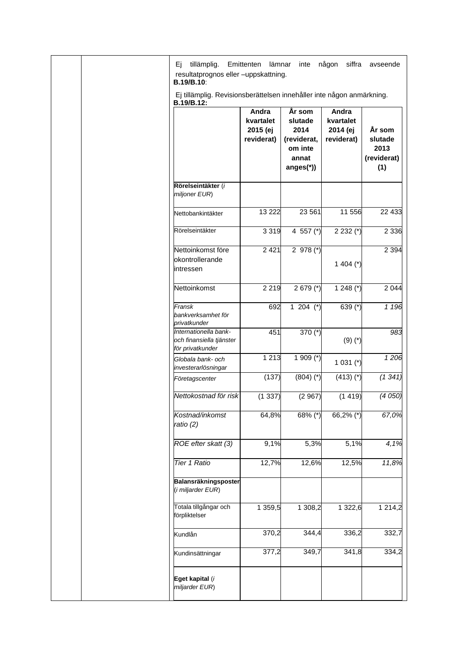|  | tillämplig.<br>Ei<br>resultatprognos eller -uppskattning.<br><b>B.19/B.10:</b>      | Emittenten<br>lämnar                                | inte                                                                       | någon<br>siffra                              | avseende                                        |
|--|-------------------------------------------------------------------------------------|-----------------------------------------------------|----------------------------------------------------------------------------|----------------------------------------------|-------------------------------------------------|
|  | Ej tillämplig. Revisionsberättelsen innehåller inte någon anmärkning.<br>B.19/B.12: |                                                     |                                                                            |                                              |                                                 |
|  |                                                                                     | <b>Andra</b><br>kvartalet<br>2015 (ej<br>reviderat) | År som<br>slutade<br>2014<br>(reviderat,<br>om inte<br>annat<br>$anges(*)$ | Andra<br>kvartalet<br>2014 (ej<br>reviderat) | År som<br>slutade<br>2013<br>(reviderat)<br>(1) |
|  | Rörelseintäkter (i<br>miljoner EUR)                                                 |                                                     |                                                                            |                                              |                                                 |
|  | Nettobankintäkter                                                                   | 13 2 22                                             | 23 561                                                                     | 11 556                                       | 22 433                                          |
|  | Rörelseintäkter                                                                     | 3 3 1 9                                             | 4 557 $(*)$                                                                | $2232$ (*)                                   | 2 3 3 6                                         |
|  | Nettoinkomst före<br>okontrollerande<br>intressen                                   | 2 4 2 1                                             | 2 978 $(*)$                                                                | 1 404 $(*)$                                  | 2 3 9 4                                         |
|  | Nettoinkomst                                                                        | 2 2 1 9                                             | $2679$ (*)                                                                 | 1 248 $(*)$                                  | 2 0 4 4                                         |
|  | Fransk<br>bankverksamhet för<br>privatkunder                                        | 692                                                 | 1 204 $(*)$                                                                | 639 (*)                                      | 1 1 9 6                                         |
|  | Internationella bank-<br>och finansiella tjänster<br>för privatkunder               | 451                                                 | 370 $(*)$                                                                  | $(9)(*)$                                     | 983                                             |
|  | Globala bank- och<br>investerarlösningar                                            | 1 2 1 3                                             | 1 909 $(*)$                                                                | $1031$ (*)                                   | 1206                                            |
|  | Företagscenter                                                                      | (137)                                               | $(804)$ $(*)$                                                              | $(413)$ (*)                                  | (1341)                                          |
|  | Nettokostnad för risk                                                               | (1337)                                              | (2967)                                                                     | (1419)                                       | (4050)                                          |
|  | Kostnad/inkomst<br>ratio (2)                                                        | 64,8%                                               | 68% (*)                                                                    | 66,2% $(*)$                                  | 67,0%                                           |
|  | ROE efter skatt (3)                                                                 | 9,1%                                                | 5,3%                                                                       | 5,1%                                         | 4,1%                                            |
|  | <b>Tier 1 Ratio</b>                                                                 | 12,7%                                               | 12,6%                                                                      | 12,5%                                        | 11,8%                                           |
|  | Balansräkningsposter<br>(i miljarder EUR)                                           |                                                     |                                                                            |                                              |                                                 |
|  | Totala tillgångar och<br>förpliktelser                                              | 1 359,5                                             | 1 308,2                                                                    | 1 322,6                                      | 1 2 1 4 , 2                                     |
|  | Kundlån                                                                             | 370,2                                               | 344,4                                                                      | 336,2                                        | 332,7                                           |
|  | Kundinsättningar                                                                    | 377,2                                               | 349,7                                                                      | 341,8                                        | 334,2                                           |
|  | Eget kapital (i<br>miljarder EUR)                                                   |                                                     |                                                                            |                                              |                                                 |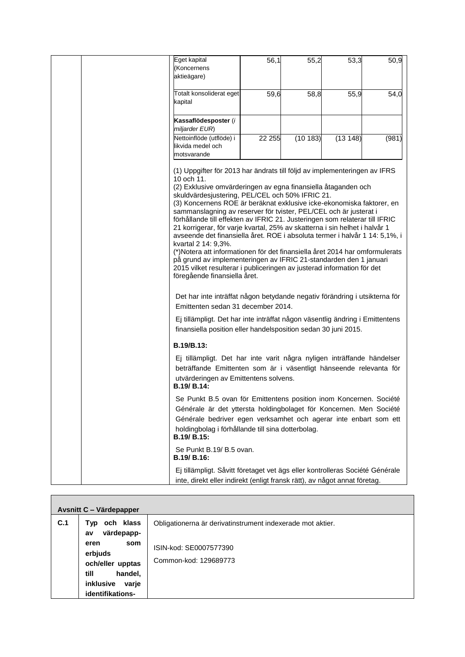| Eget kapital                                                                                                                               | 56,1   | 55,2    | 53,3    | 50,9  |
|--------------------------------------------------------------------------------------------------------------------------------------------|--------|---------|---------|-------|
| (Koncernens<br>aktieägare)                                                                                                                 |        |         |         |       |
|                                                                                                                                            |        |         |         |       |
| Totalt konsoliderat eget                                                                                                                   | 59,6   | 58,8    | 55,9    | 54,0  |
| kapital                                                                                                                                    |        |         |         |       |
|                                                                                                                                            |        |         |         |       |
| Kassaflödesposter (i                                                                                                                       |        |         |         |       |
| miljarder EUR)                                                                                                                             |        |         |         |       |
| Nettoinflöde (utflöde) i<br>likvida medel och                                                                                              | 22 255 | (10183) | (13148) | (981) |
| motsvarande                                                                                                                                |        |         |         |       |
|                                                                                                                                            |        |         |         |       |
| (1) Uppgifter för 2013 har ändrats till följd av implementeringen av IFRS<br>10 och 11.                                                    |        |         |         |       |
| (2) Exklusive omvärderingen av egna finansiella åtaganden och                                                                              |        |         |         |       |
| skuldvärdesjustering, PEL/CEL och 50% IFRIC 21.                                                                                            |        |         |         |       |
| (3) Koncernens ROE är beräknat exklusive icke-ekonomiska faktorer, en<br>sammanslagning av reserver för tvister, PEL/CEL och är justerat i |        |         |         |       |
| förhållande till effekten av IFRIC 21. Justeringen som relaterar till IFRIC                                                                |        |         |         |       |
| 21 korrigerar, för varje kvartal, 25% av skatterna i sin helhet i halvår 1                                                                 |        |         |         |       |
| avseende det finansiella året. ROE i absoluta termer i halvår 1 14: 5,1%, i                                                                |        |         |         |       |
| kvartal 2 14: 9,3%.<br>(*)Notera att informationen för det finansiella året 2014 har omformulerats                                         |        |         |         |       |
| på grund av implementeringen av IFRIC 21-standarden den 1 januari                                                                          |        |         |         |       |
| 2015 vilket resulterar i publiceringen av justerad information för det                                                                     |        |         |         |       |
| föregående finansiella året.                                                                                                               |        |         |         |       |
|                                                                                                                                            |        |         |         |       |
| Det har inte inträffat någon betydande negativ förändring i utsikterna för                                                                 |        |         |         |       |
| Emittenten sedan 31 december 2014.                                                                                                         |        |         |         |       |
| Ej tillämpligt. Det har inte inträffat någon väsentlig ändring i Emittentens                                                               |        |         |         |       |
| finansiella position eller handelsposition sedan 30 juni 2015.                                                                             |        |         |         |       |
|                                                                                                                                            |        |         |         |       |
| B.19/B.13:                                                                                                                                 |        |         |         |       |
| Ej tillämpligt. Det har inte varit några nyligen inträffande händelser                                                                     |        |         |         |       |
| beträffande Emittenten som är i väsentligt hänseende relevanta för                                                                         |        |         |         |       |
| utvärderingen av Emittentens solvens.                                                                                                      |        |         |         |       |
| B.19/ B.14:                                                                                                                                |        |         |         |       |
| Se Punkt B.5 ovan för Emittentens position inom Koncernen. Société                                                                         |        |         |         |       |
| Générale är det yttersta holdingbolaget för Koncernen. Men Société                                                                         |        |         |         |       |
| Générale bedriver egen verksamhet och agerar inte enbart som ett                                                                           |        |         |         |       |
| holdingbolag i förhållande till sina dotterbolag.                                                                                          |        |         |         |       |
| B.19/ B.15:                                                                                                                                |        |         |         |       |
| Se Punkt B.19/ B.5 ovan.                                                                                                                   |        |         |         |       |
| B.19/ B.16:                                                                                                                                |        |         |         |       |
| Ej tillämpligt. Såvitt företaget vet ägs eller kontrolleras Société Générale                                                               |        |         |         |       |
| inte, direkt eller indirekt (enligt fransk rätt), av något annat företag.                                                                  |        |         |         |       |

|     | Avsnitt C - Värdepapper                                                                                                     |                                                                                                               |
|-----|-----------------------------------------------------------------------------------------------------------------------------|---------------------------------------------------------------------------------------------------------------|
| C.1 | och klass<br>Typ<br>värdepapp-<br>av<br>som<br>eren<br>erbjuds<br>och/eller upptas<br>handel,<br>till<br>inklusive<br>varje | Obligationerna är derivatinstrument indexerade mot aktier.<br>ISIN-kod: SE0007577390<br>Common-kod: 129689773 |
|     | identifikations-                                                                                                            |                                                                                                               |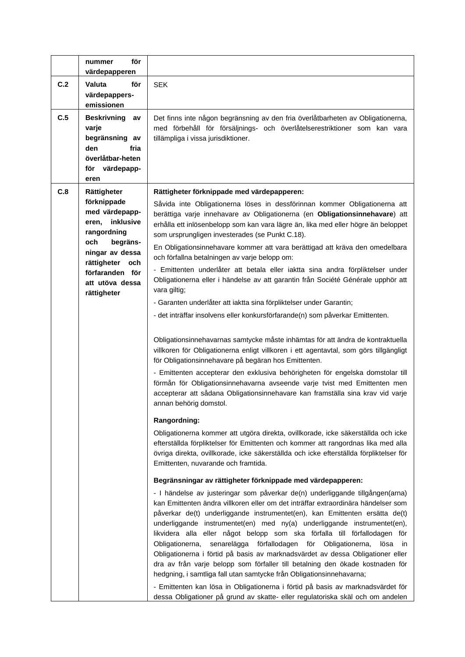|     | för<br>nummer<br>värdepapperen                                                                                                                                                                     |                                                                                                                                                                                                                                                                                                                                                                                                                                                                                                                                                                                                                                                                                                                                                                                                                                                                                                                                                                                                                                                                                                                                                                                                                                                                                                                                                                                                                                                                                                                                                                                                                                                                                                                                                                                                                                                                                                                                                                                             |
|-----|----------------------------------------------------------------------------------------------------------------------------------------------------------------------------------------------------|---------------------------------------------------------------------------------------------------------------------------------------------------------------------------------------------------------------------------------------------------------------------------------------------------------------------------------------------------------------------------------------------------------------------------------------------------------------------------------------------------------------------------------------------------------------------------------------------------------------------------------------------------------------------------------------------------------------------------------------------------------------------------------------------------------------------------------------------------------------------------------------------------------------------------------------------------------------------------------------------------------------------------------------------------------------------------------------------------------------------------------------------------------------------------------------------------------------------------------------------------------------------------------------------------------------------------------------------------------------------------------------------------------------------------------------------------------------------------------------------------------------------------------------------------------------------------------------------------------------------------------------------------------------------------------------------------------------------------------------------------------------------------------------------------------------------------------------------------------------------------------------------------------------------------------------------------------------------------------------------|
| C.2 | för<br>Valuta<br>värdepappers-<br>emissionen                                                                                                                                                       | <b>SEK</b>                                                                                                                                                                                                                                                                                                                                                                                                                                                                                                                                                                                                                                                                                                                                                                                                                                                                                                                                                                                                                                                                                                                                                                                                                                                                                                                                                                                                                                                                                                                                                                                                                                                                                                                                                                                                                                                                                                                                                                                  |
| C.5 | <b>Beskrivning</b><br>av<br>varje<br>begränsning av<br>den<br>fria<br>överlåtbar-heten<br>värdepapp-<br>för<br>eren                                                                                | Det finns inte någon begränsning av den fria överlåtbarheten av Obligationerna,<br>med förbehåll för försäljnings- och överlåtelserestriktioner som kan vara<br>tillämpliga i vissa jurisdiktioner.                                                                                                                                                                                                                                                                                                                                                                                                                                                                                                                                                                                                                                                                                                                                                                                                                                                                                                                                                                                                                                                                                                                                                                                                                                                                                                                                                                                                                                                                                                                                                                                                                                                                                                                                                                                         |
| C.8 | Rättigheter<br>förknippade<br>med värdepapp-<br>inklusive<br>eren,<br>rangordning<br>begräns-<br>och<br>ningar av dessa<br>rättigheter<br>och<br>förfaranden för<br>att utöva dessa<br>rättigheter | Rättigheter förknippade med värdepapperen:<br>Såvida inte Obligationerna löses in dessförinnan kommer Obligationerna att<br>berättiga varje innehavare av Obligationerna (en Obligationsinnehavare) att<br>erhålla ett inlösenbelopp som kan vara lägre än, lika med eller högre än beloppet<br>som ursprungligen investerades (se Punkt C.18).<br>En Obligationsinnehavare kommer att vara berättigad att kräva den omedelbara<br>och förfallna betalningen av varje belopp om:<br>- Emittenten underlåter att betala eller iaktta sina andra förpliktelser under<br>Obligationerna eller i händelse av att garantin från Société Générale upphör att<br>vara giltig;<br>- Garanten underlåter att iaktta sina förpliktelser under Garantin;<br>- det inträffar insolvens eller konkursförfarande(n) som påverkar Emittenten.<br>Obligationsinnehavarnas samtycke måste inhämtas för att ändra de kontraktuella<br>villkoren för Obligationerna enligt villkoren i ett agentavtal, som görs tillgängligt<br>för Obligationsinnehavare på begäran hos Emittenten.<br>- Emittenten accepterar den exklusiva behörigheten för engelska domstolar till<br>förmån för Obligationsinnehavarna avseende varje tvist med Emittenten men<br>accepterar att sådana Obligationsinnehavare kan framställa sina krav vid varje<br>annan behörig domstol.<br>Rangordning:<br>Obligationerna kommer att utgöra direkta, ovillkorade, icke säkerställda och icke<br>efterställda förpliktelser för Emittenten och kommer att rangordnas lika med alla<br>övriga direkta, ovillkorade, icke säkerställda och icke efterställda förpliktelser för<br>Emittenten, nuvarande och framtida.<br>Begränsningar av rättigheter förknippade med värdepapperen:<br>- I händelse av justeringar som påverkar de(n) underliggande tillgången(arna)<br>kan Emittenten ändra villkoren eller om det inträffar extraordinära händelser som<br>påverkar de(t) underliggande instrumentet(en), kan Emittenten ersätta de(t) |
|     |                                                                                                                                                                                                    | underliggande instrumentet(en) med ny(a) underliggande instrumentet(en),<br>likvidera alla eller något belopp som ska förfalla till förfallodagen för<br>Obligationerna, senarelägga förfallodagen för Obligationerna,<br>lösa in<br>Obligationerna i förtid på basis av marknadsvärdet av dessa Obligationer eller<br>dra av från varje belopp som förfaller till betalning den ökade kostnaden för<br>hedgning, i samtliga fall utan samtycke från Obligationsinnehavarna;<br>- Emittenten kan lösa in Obligationerna i förtid på basis av marknadsvärdet för<br>dessa Obligationer på grund av skatte- eller regulatoriska skäl och om andelen                                                                                                                                                                                                                                                                                                                                                                                                                                                                                                                                                                                                                                                                                                                                                                                                                                                                                                                                                                                                                                                                                                                                                                                                                                                                                                                                           |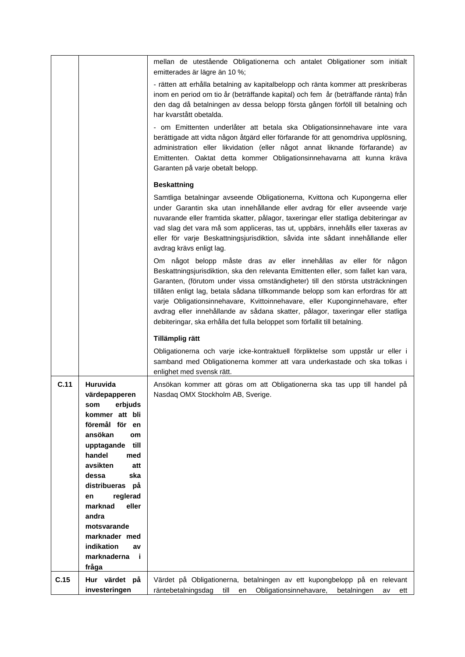|      |                                 | mellan de utestående Obligationerna och antalet Obligationer som initialt<br>emitterades är lägre än 10 %;                                                                                                                                                                                                                                                                                                                                                                                                                                                                     |
|------|---------------------------------|--------------------------------------------------------------------------------------------------------------------------------------------------------------------------------------------------------------------------------------------------------------------------------------------------------------------------------------------------------------------------------------------------------------------------------------------------------------------------------------------------------------------------------------------------------------------------------|
|      |                                 | - rätten att erhålla betalning av kapitalbelopp och ränta kommer att preskriberas                                                                                                                                                                                                                                                                                                                                                                                                                                                                                              |
|      |                                 | inom en period om tio år (beträffande kapital) och fem år (beträffande ränta) från                                                                                                                                                                                                                                                                                                                                                                                                                                                                                             |
|      |                                 | den dag då betalningen av dessa belopp första gången förföll till betalning och                                                                                                                                                                                                                                                                                                                                                                                                                                                                                                |
|      |                                 | har kvarstått obetalda.                                                                                                                                                                                                                                                                                                                                                                                                                                                                                                                                                        |
|      |                                 | - om Emittenten underlåter att betala ska Obligationsinnehavare inte vara<br>berättigade att vidta någon åtgärd eller förfarande för att genomdriva upplösning,<br>administration eller likvidation (eller något annat liknande förfarande) av<br>Emittenten. Oaktat detta kommer Obligationsinnehavarna att kunna kräva<br>Garanten på varje obetalt belopp.                                                                                                                                                                                                                  |
|      |                                 | <b>Beskattning</b>                                                                                                                                                                                                                                                                                                                                                                                                                                                                                                                                                             |
|      |                                 | Samtliga betalningar avseende Obligationerna, Kvittona och Kupongerna eller<br>under Garantin ska utan innehållande eller avdrag för eller avseende varje<br>nuvarande eller framtida skatter, pålagor, taxeringar eller statliga debiteringar av<br>vad slag det vara må som appliceras, tas ut, uppbärs, innehålls eller taxeras av<br>eller för varje Beskattningsjurisdiktion, såvida inte sådant innehållande eller<br>avdrag krävs enligt lag.                                                                                                                           |
|      |                                 | Om något belopp måste dras av eller innehållas av eller för någon<br>Beskattningsjurisdiktion, ska den relevanta Emittenten eller, som fallet kan vara,<br>Garanten, (förutom under vissa omständigheter) till den största utsträckningen<br>tillåten enligt lag, betala sådana tillkommande belopp som kan erfordras för att<br>varje Obligationsinnehavare, Kvittoinnehavare, eller Kuponginnehavare, efter<br>avdrag eller innehållande av sådana skatter, pålagor, taxeringar eller statliga<br>debiteringar, ska erhålla det fulla beloppet som förfallit till betalning. |
|      |                                 | Tillämplig rätt                                                                                                                                                                                                                                                                                                                                                                                                                                                                                                                                                                |
|      |                                 | Obligationerna och varje icke-kontraktuell förpliktelse som uppstår ur eller i<br>samband med Obligationerna kommer att vara underkastade och ska tolkas i<br>enlighet med svensk rätt.                                                                                                                                                                                                                                                                                                                                                                                        |
| C.11 | Huruvida                        | Ansökan kommer att göras om att Obligationerna ska tas upp till handel på                                                                                                                                                                                                                                                                                                                                                                                                                                                                                                      |
|      | värdepapperen                   | Nasdaq OMX Stockholm AB, Sverige.                                                                                                                                                                                                                                                                                                                                                                                                                                                                                                                                              |
|      | som<br>erbjuds                  |                                                                                                                                                                                                                                                                                                                                                                                                                                                                                                                                                                                |
|      | kommer att bli                  |                                                                                                                                                                                                                                                                                                                                                                                                                                                                                                                                                                                |
|      | föremål för<br>en<br>ansökan    |                                                                                                                                                                                                                                                                                                                                                                                                                                                                                                                                                                                |
|      | <b>om</b><br>upptagande<br>till |                                                                                                                                                                                                                                                                                                                                                                                                                                                                                                                                                                                |
|      | handel<br>med                   |                                                                                                                                                                                                                                                                                                                                                                                                                                                                                                                                                                                |
|      | avsikten<br>att                 |                                                                                                                                                                                                                                                                                                                                                                                                                                                                                                                                                                                |
|      | ska<br>dessa                    |                                                                                                                                                                                                                                                                                                                                                                                                                                                                                                                                                                                |
|      | distribueras<br>рå              |                                                                                                                                                                                                                                                                                                                                                                                                                                                                                                                                                                                |
|      | reglerad<br>en                  |                                                                                                                                                                                                                                                                                                                                                                                                                                                                                                                                                                                |
|      | eller<br>marknad                |                                                                                                                                                                                                                                                                                                                                                                                                                                                                                                                                                                                |
|      | andra                           |                                                                                                                                                                                                                                                                                                                                                                                                                                                                                                                                                                                |
|      | motsvarande<br>marknader med    |                                                                                                                                                                                                                                                                                                                                                                                                                                                                                                                                                                                |
|      | indikation<br>av                |                                                                                                                                                                                                                                                                                                                                                                                                                                                                                                                                                                                |
|      | marknaderna<br>-i               |                                                                                                                                                                                                                                                                                                                                                                                                                                                                                                                                                                                |
|      | fråga                           |                                                                                                                                                                                                                                                                                                                                                                                                                                                                                                                                                                                |
| C.15 | Hur värdet på                   | Värdet på Obligationerna, betalningen av ett kupongbelopp på en relevant                                                                                                                                                                                                                                                                                                                                                                                                                                                                                                       |
|      | investeringen                   | Obligationsinnehavare,<br>räntebetalningsdag<br>till<br>betalningen<br>en<br>av<br>ett                                                                                                                                                                                                                                                                                                                                                                                                                                                                                         |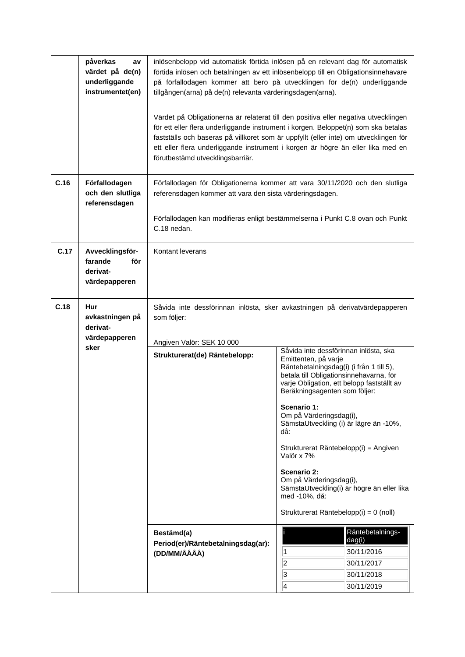|      | påverkas<br>av<br>värdet på de(n)<br>underliggande<br>instrumentet(en) | inlösenbelopp vid automatisk förtida inlösen på en relevant dag för automatisk<br>förtida inlösen och betalningen av ett inlösenbelopp till en Obligationsinnehavare<br>på förfallodagen kommer att bero på utvecklingen för de(n) underliggande<br>tillgången(arna) på de(n) relevanta värderingsdagen(arna).<br>Värdet på Obligationerna är relaterat till den positiva eller negativa utvecklingen<br>för ett eller flera underliggande instrument i korgen. Beloppet(n) som ska betalas<br>fastställs och baseras på villkoret som är uppfyllt (eller inte) om utvecklingen för<br>ett eller flera underliggande instrument i korgen är högre än eller lika med en<br>förutbestämd utvecklingsbarriär. |                                                                                                                                                                                                                                                                                                                                                                                                                                                                                                                                                                                                                         |
|------|------------------------------------------------------------------------|------------------------------------------------------------------------------------------------------------------------------------------------------------------------------------------------------------------------------------------------------------------------------------------------------------------------------------------------------------------------------------------------------------------------------------------------------------------------------------------------------------------------------------------------------------------------------------------------------------------------------------------------------------------------------------------------------------|-------------------------------------------------------------------------------------------------------------------------------------------------------------------------------------------------------------------------------------------------------------------------------------------------------------------------------------------------------------------------------------------------------------------------------------------------------------------------------------------------------------------------------------------------------------------------------------------------------------------------|
| C.16 | Förfallodagen<br>och den slutliga<br>referensdagen                     | Förfallodagen för Obligationerna kommer att vara 30/11/2020 och den slutliga<br>referensdagen kommer att vara den sista värderingsdagen.<br>Förfallodagen kan modifieras enligt bestämmelserna i Punkt C.8 ovan och Punkt<br>C.18 nedan.                                                                                                                                                                                                                                                                                                                                                                                                                                                                   |                                                                                                                                                                                                                                                                                                                                                                                                                                                                                                                                                                                                                         |
| C.17 | Avvecklingsför-<br>farande<br>för<br>derivat-<br>värdepapperen         | Kontant leverans                                                                                                                                                                                                                                                                                                                                                                                                                                                                                                                                                                                                                                                                                           |                                                                                                                                                                                                                                                                                                                                                                                                                                                                                                                                                                                                                         |
| C.18 | Hur<br>avkastningen på<br>derivat-<br>värdepapperen<br>sker            | som följer:<br>Angiven Valör: SEK 10 000<br>Strukturerat(de) Räntebelopp:                                                                                                                                                                                                                                                                                                                                                                                                                                                                                                                                                                                                                                  | Såvida inte dessförinnan inlösta, sker avkastningen på derivatvärdepapperen<br>Såvida inte dessförinnan inlösta, ska<br>Emittenten, på varje<br>Räntebetalningsdag(i) (i från 1 till 5),<br>betala till Obligationsinnehavarna, för<br>varje Obligation, ett belopp fastställt av<br>Beräkningsagenten som följer:<br>Scenario 1:<br>Om på Värderingsdag(i),<br>SämstaUtveckling (i) är lägre än -10%,<br>då:<br>Strukturerat Räntebelopp(i) = Angiven<br>Valör x 7%<br>Scenario 2:<br>Om på Värderingsdag(i),<br>SämstaUtveckling(i) är högre än eller lika<br>med -10%, då:<br>Strukturerat Räntebelopp(i) = 0 (noll) |
|      |                                                                        | Bestämd(a)<br>Period(er)/Räntebetalningsdag(ar):<br>(DD/MM/ÅÅÅÅ)                                                                                                                                                                                                                                                                                                                                                                                                                                                                                                                                                                                                                                           | Räntebetalnings-<br>dag(i)<br>30/11/2016<br>1<br>$ 2\rangle$<br>30/11/2017<br>$\overline{\mathbf{3}}$<br>30/11/2018<br>4<br>30/11/2019                                                                                                                                                                                                                                                                                                                                                                                                                                                                                  |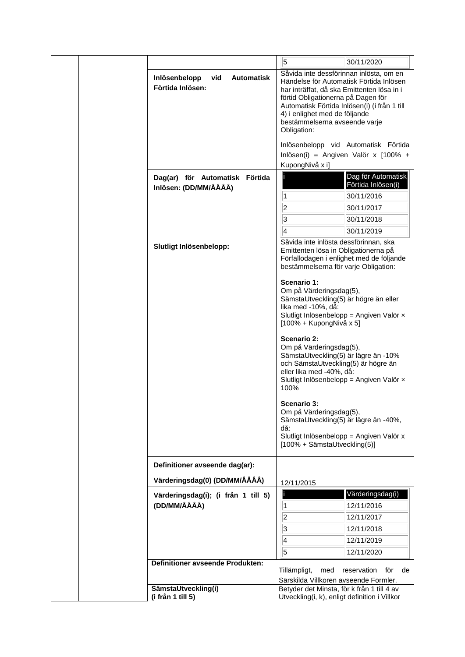|  |              |                                                               | 5                                                                                                                                                                                                            | 30/11/2020                                                                              |
|--|--------------|---------------------------------------------------------------|--------------------------------------------------------------------------------------------------------------------------------------------------------------------------------------------------------------|-----------------------------------------------------------------------------------------|
|  |              | <b>Automatisk</b><br>Inlösenbelopp<br>vid<br>Förtida Inlösen: | Såvida inte dessförinnan inlösta, om en<br>har inträffat, då ska Emittenten lösa in i<br>förtid Obligationerna på Dagen för<br>4) i enlighet med de följande<br>bestämmelserna avseende varje<br>Obligation: | Händelse för Automatisk Förtida Inlösen<br>Automatisk Förtida Inlösen(i) (i från 1 till |
|  |              |                                                               |                                                                                                                                                                                                              | Inlösenbelopp vid Automatisk Förtida                                                    |
|  |              |                                                               | KupongNivå x i]                                                                                                                                                                                              | Inlösen(i) = Angiven Valör x $[100\% +$                                                 |
|  |              | Dag(ar) för Automatisk Förtida<br>Inlösen: (DD/MM/ÅÅÅÅ)       | 1                                                                                                                                                                                                            | Dag för Automatisk<br>Förtida Inlösen(i)<br>30/11/2016                                  |
|  |              |                                                               | $\overline{2}$                                                                                                                                                                                               | 30/11/2017                                                                              |
|  |              |                                                               | 3                                                                                                                                                                                                            | 30/11/2018                                                                              |
|  |              |                                                               | 4                                                                                                                                                                                                            | 30/11/2019                                                                              |
|  |              |                                                               | Såvida inte inlösta dessförinnan, ska                                                                                                                                                                        |                                                                                         |
|  |              | Slutligt Inlösenbelopp:                                       | Emittenten lösa in Obligationerna på<br>bestämmelserna för varje Obligation:<br>Scenario 1:                                                                                                                  | Förfallodagen i enlighet med de följande                                                |
|  |              |                                                               | Om på Värderingsdag(5),<br>SämstaUtveckling(5) är högre än eller<br>lika med -10%, då:<br>[100% + KupongNivå x 5]                                                                                            | Slutligt Inlösenbelopp = Angiven Valör x                                                |
|  |              |                                                               | Scenario 2:<br>Om på Värderingsdag(5),<br>SämstaUtveckling(5) är lägre än -10%<br>och SämstaUtveckling(5) är högre än<br>eller lika med -40%, då:<br>100%                                                    | Slutligt Inlösenbelopp = Angiven Valör x                                                |
|  |              |                                                               | Scenario 3:<br>Om på Värderingsdag(5),<br>SämstaUtveckling(5) är lägre än -40%,<br>då:<br>[100% + SämstaUtveckling(5)]                                                                                       | Slutligt Inlösenbelopp = Angiven Valör x                                                |
|  |              | Definitioner avseende dag(ar):                                |                                                                                                                                                                                                              |                                                                                         |
|  |              | Värderingsdag(0) (DD/MM/ÅÅÅÅ)                                 | 12/11/2015                                                                                                                                                                                                   |                                                                                         |
|  |              | Värderingsdag(i); (i från 1 till 5)                           |                                                                                                                                                                                                              | Värderingsdag(i)                                                                        |
|  | (DD/MM/ÅÅÅÅ) | 1                                                             | 12/11/2016                                                                                                                                                                                                   |                                                                                         |
|  |              | $\overline{2}$                                                | 12/11/2017                                                                                                                                                                                                   |                                                                                         |
|  |              |                                                               | 3                                                                                                                                                                                                            | 12/11/2018                                                                              |
|  |              |                                                               | 4                                                                                                                                                                                                            | 12/11/2019                                                                              |
|  |              |                                                               | 5                                                                                                                                                                                                            | 12/11/2020                                                                              |
|  |              | Definitioner avseende Produkten:                              |                                                                                                                                                                                                              |                                                                                         |
|  |              |                                                               | Tillämpligt,<br>med                                                                                                                                                                                          | reservation<br>för<br>de                                                                |
|  |              | SämstaUtveckling(i)                                           | Särskilda Villkoren avseende Formler.<br>Betyder det Minsta, för k från 1 till 4 av                                                                                                                          |                                                                                         |
|  |              | (i från 1 till 5)                                             | Utveckling(i, k), enligt definition i Villkor                                                                                                                                                                |                                                                                         |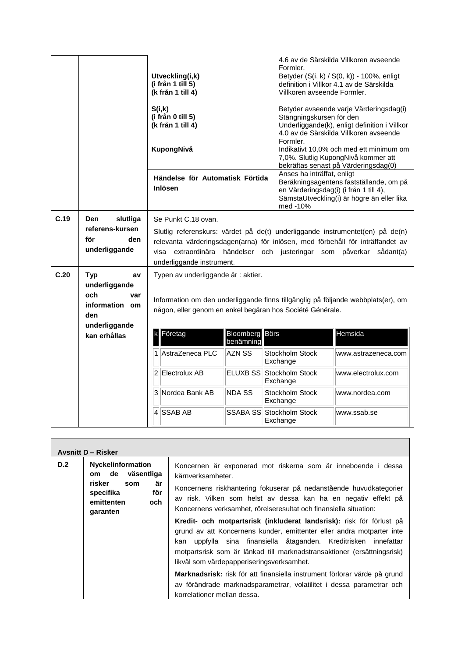|      |                                                                                                           | Utveckling(i,k)<br>(i från 1 till 5)<br>(k från 1 till 4)                                                                                       |                                  | Formler.<br>Villkoren avseende Formler.                                          | 4.6 av de Särskilda Villkoren avseende<br>Betyder (S(i, k) / S(0, k)) - 100%, enligt<br>definition i Villkor 4.1 av de Särskilda                                                                                                       |
|------|-----------------------------------------------------------------------------------------------------------|-------------------------------------------------------------------------------------------------------------------------------------------------|----------------------------------|----------------------------------------------------------------------------------|----------------------------------------------------------------------------------------------------------------------------------------------------------------------------------------------------------------------------------------|
|      |                                                                                                           | S(i,k)<br>(i från 0 till 5)<br>(k från 1 till 4)<br>KupongNivå                                                                                  |                                  | Stängningskursen för den<br>Formler.                                             | Betyder avseende varje Värderingsdag(i)<br>Underliggande(k), enligt definition i Villkor<br>4.0 av de Särskilda Villkoren avseende<br>Indikativt 10,0% och med ett minimum om                                                          |
|      |                                                                                                           | Händelse för Automatisk Förtida<br><b>Inlösen</b>                                                                                               |                                  | Anses ha inträffat, enligt<br>en Värderingsdag(i) (i från 1 till 4),<br>med -10% | 7,0%. Slutlig KupongNivå kommer att<br>bekräftas senast på Värderingsdag(0)<br>Beräkningsagentens fastställande, om på<br>SämstaUtveckling(i) är högre än eller lika                                                                   |
| C.19 | Den<br>slutliga<br>referens-kursen<br>för<br>den<br>underliggande                                         | Se Punkt C.18 ovan.<br>underliggande instrument.                                                                                                |                                  |                                                                                  | Slutlig referenskurs: värdet på de(t) underliggande instrumentet(en) på de(n)<br>relevanta värderingsdagen(arna) för inlösen, med förbehåll för inträffandet av<br>visa extraordinära händelser och justeringar som påverkar sådant(a) |
| C.20 | <b>Typ</b><br>av<br>underliggande<br>och<br>var<br>information om<br>den<br>underliggande<br>kan erhållas | Typen av underliggande är : aktier.<br>någon, eller genom en enkel begäran hos Société Générale.<br>Företag<br>$\mathsf k$<br>1 AstraZeneca PLC | Bloomberg<br>benämning<br>AZN SS | Börs<br>Stockholm Stock<br>Exchange                                              | Information om den underliggande finns tillgänglig på följande webbplats(er), om<br>Hemsida<br>www.astrazeneca.com                                                                                                                     |
|      |                                                                                                           | 2 Electrolux AB                                                                                                                                 | ELUXB SS                         | Stockholm Stock<br>Exchange                                                      | www.electrolux.com                                                                                                                                                                                                                     |
|      |                                                                                                           | 3 Nordea Bank AB                                                                                                                                | NDA SS                           | Stockholm Stock<br>Exchange                                                      | www.nordea.com                                                                                                                                                                                                                         |
|      |                                                                                                           | 4 SSAB AB                                                                                                                                       |                                  | SSABA SS Stockholm Stock<br>Exchange                                             | www.ssab.se                                                                                                                                                                                                                            |

|     | <b>Avsnitt D - Risker</b>                                                                                                |                                                                                                                                                                                                                                                                                                                                                                                                                                                                                                                                                                                                                                                                                                                                                                                                                                     |
|-----|--------------------------------------------------------------------------------------------------------------------------|-------------------------------------------------------------------------------------------------------------------------------------------------------------------------------------------------------------------------------------------------------------------------------------------------------------------------------------------------------------------------------------------------------------------------------------------------------------------------------------------------------------------------------------------------------------------------------------------------------------------------------------------------------------------------------------------------------------------------------------------------------------------------------------------------------------------------------------|
| D.2 | <b>Nyckelinformation</b><br>om de väsentliga<br>risker<br>är<br>som<br>för<br>specifika<br>emittenten<br>och<br>garanten | Koncernen är exponerad mot riskerna som är inneboende i dessa<br>kärnverksamheter.<br>Koncernens riskhantering fokuserar på nedanstående huvudkategorier<br>av risk. Vilken som helst av dessa kan ha en negativ effekt på<br>Koncernens verksamhet, rörelseresultat och finansiella situation:<br>Kredit- och motpartsrisk (inkluderat landsrisk): risk för förlust på<br>grund av att Koncernens kunder, emittenter eller andra motparter inte<br>uppfylla sina finansiella åtaganden. Kreditrisken innefattar<br>kan<br>motpartsrisk som är länkad till marknadstransaktioner (ersättningsrisk)<br>likväl som värdepapperiseringsverksamhet.<br>Marknadsrisk: risk för att finansiella instrument förlorar värde på grund<br>av förändrade marknadsparametrar, volatilitet i dessa parametrar och<br>korrelationer mellan dessa. |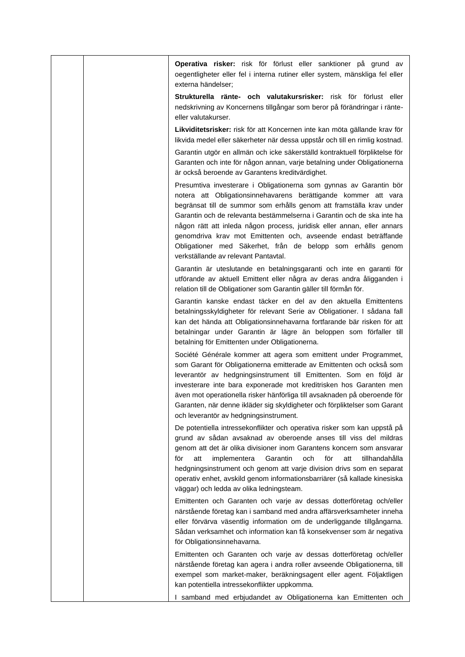|  | Operativa risker: risk för förlust eller sanktioner på grund av<br>oegentligheter eller fel i interna rutiner eller system, mänskliga fel eller<br>externa händelser;                                                                                                                                                                                                                                                                                                                                                                        |
|--|----------------------------------------------------------------------------------------------------------------------------------------------------------------------------------------------------------------------------------------------------------------------------------------------------------------------------------------------------------------------------------------------------------------------------------------------------------------------------------------------------------------------------------------------|
|  | Strukturella ränte- och valutakursrisker: risk för förlust eller<br>nedskrivning av Koncernens tillgångar som beror på förändringar i ränte-<br>eller valutakurser.                                                                                                                                                                                                                                                                                                                                                                          |
|  | Likviditetsrisker: risk för att Koncernen inte kan möta gällande krav för<br>likvida medel eller säkerheter när dessa uppstår och till en rimlig kostnad.                                                                                                                                                                                                                                                                                                                                                                                    |
|  | Garantin utgör en allmän och icke säkerställd kontraktuell förpliktelse för<br>Garanten och inte för någon annan, varje betalning under Obligationerna<br>är också beroende av Garantens kreditvärdighet.                                                                                                                                                                                                                                                                                                                                    |
|  | Presumtiva investerare i Obligationerna som gynnas av Garantin bör<br>notera att Obligationsinnehavarens berättigande kommer att vara<br>begränsat till de summor som erhålls genom att framställa krav under<br>Garantin och de relevanta bestämmelserna i Garantin och de ska inte ha<br>någon rätt att inleda någon process, juridisk eller annan, eller annars<br>genomdriva krav mot Emittenten och, avseende endast beträffande<br>Obligationer med Säkerhet, från de belopp som erhålls genom<br>verkställande av relevant Pantavtal. |
|  | Garantin är uteslutande en betalningsgaranti och inte en garanti för<br>utförande av aktuell Emittent eller några av deras andra åligganden i<br>relation till de Obligationer som Garantin gäller till förmån för.                                                                                                                                                                                                                                                                                                                          |
|  | Garantin kanske endast täcker en del av den aktuella Emittentens<br>betalningsskyldigheter för relevant Serie av Obligationer. I sådana fall<br>kan det hända att Obligationsinnehavarna fortfarande bär risken för att<br>betalningar under Garantin är lägre än beloppen som förfaller till<br>betalning för Emittenten under Obligationerna.                                                                                                                                                                                              |
|  | Société Générale kommer att agera som emittent under Programmet,<br>som Garant för Obligationerna emitterade av Emittenten och också som<br>leverantör av hedgningsinstrument till Emittenten. Som en följd är<br>investerare inte bara exponerade mot kreditrisken hos Garanten men<br>även mot operationella risker hänförliga till avsaknaden på oberoende för<br>Garanten, när denne ikläder sig skyldigheter och förpliktelser som Garant<br>och leverantör av hedgningsinstrument.                                                     |
|  | De potentiella intressekonflikter och operativa risker som kan uppstå på<br>grund av sådan avsaknad av oberoende anses till viss del mildras<br>genom att det är olika divisioner inom Garantens koncern som ansvarar<br>Garantin<br>och<br>för<br>för<br>att<br>implementera<br>att<br>tillhandahålla<br>hedgningsinstrument och genom att varje division drivs som en separat<br>operativ enhet, avskild genom informationsbarriärer (så kallade kinesiska<br>väggar) och ledda av olika ledningsteam.                                     |
|  | Emittenten och Garanten och varje av dessas dotterföretag och/eller<br>närstående företag kan i samband med andra affärsverksamheter inneha<br>eller förvärva väsentlig information om de underliggande tillgångarna.<br>Sådan verksamhet och information kan få konsekvenser som är negativa<br>för Obligationsinnehavarna.                                                                                                                                                                                                                 |
|  | Emittenten och Garanten och varje av dessas dotterföretag och/eller<br>närstående företag kan agera i andra roller avseende Obligationerna, till<br>exempel som market-maker, beräkningsagent eller agent. Följaktligen<br>kan potentiella intressekonflikter uppkomma.                                                                                                                                                                                                                                                                      |
|  | samband med erbjudandet av Obligationerna kan Emittenten och                                                                                                                                                                                                                                                                                                                                                                                                                                                                                 |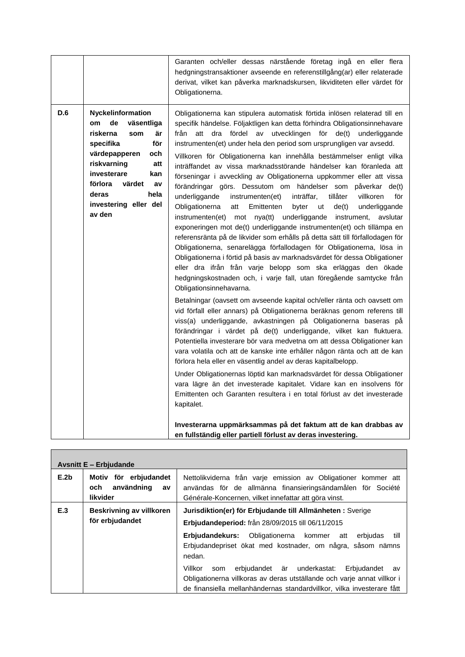| D.6<br>Nyckelinformation<br>Obligationerna kan stipulera automatisk förtida inlösen relaterad till en<br>de<br>väsentliga<br>specifik händelse. Följaktligen kan detta förhindra Obligationsinnehavare<br>om<br>riskerna<br>som<br>att dra fördel av utvecklingen för de(t)<br>är<br>från<br>underliggande<br>för<br>specifika<br>instrumenten(et) under hela den period som ursprungligen var avsedd.<br>värdepapperen<br>och<br>Villkoren för Obligationerna kan innehålla bestämmelser enligt vilka<br>riskvarning<br>att<br>inträffandet av vissa marknadsstörande händelser kan föranleda att<br>investerare<br>kan<br>förseningar i avveckling av Obligationerna uppkommer eller att vissa<br>förlora<br>värdet<br>av<br>förändringar görs. Dessutom om händelser som påverkar de(t)<br>deras<br>hela<br>underliggande<br>instrumenten(et)<br>inträffar,<br>tillåter<br>villkoren<br>för<br>investering eller del<br>Obligationerna<br>att<br>Emittenten<br>byter<br>ut<br>de(t)<br>underliggande<br>av den<br>instrumenten(et) mot nya(tt) underliggande<br>instrument,<br>avslutar<br>exponeringen mot de(t) underliggande instrumenten(et) och tillämpa en<br>referensränta på de likvider som erhålls på detta sätt till förfallodagen för<br>Obligationerna, senarelägga förfallodagen för Obligationerna, lösa in<br>Obligationerna i förtid på basis av marknadsvärdet för dessa Obligationer<br>eller dra ifrån från varje belopp som ska erläggas den ökade<br>hedgningskostnaden och, i varje fall, utan föregående samtycke från<br>Obligationsinnehavarna.<br>Betalningar (oavsett om avseende kapital och/eller ränta och oavsett om<br>vid förfall eller annars) på Obligationerna beräknas genom referens till<br>viss(a) underliggande, avkastningen på Obligationerna baseras på<br>förändringar i värdet på de(t) underliggande, vilket kan fluktuera.<br>Potentiella investerare bör vara medvetna om att dessa Obligationer kan<br>vara volatila och att de kanske inte erhåller någon ränta och att de kan<br>förlora hela eller en väsentlig andel av deras kapitalbelopp.<br>Under Obligationernas löptid kan marknadsvärdet för dessa Obligationer<br>vara lägre än det investerade kapitalet. Vidare kan en insolvens för<br>Emittenten och Garanten resultera i en total förlust av det investerade<br>kapitalet. |  | Garanten och/eller dessas närstående företag ingå en eller flera<br>hedgningstransaktioner avseende en referenstillgång(ar) eller relaterade<br>derivat, vilket kan påverka marknadskursen, likviditeten eller värdet för<br>Obligationerna. |
|---------------------------------------------------------------------------------------------------------------------------------------------------------------------------------------------------------------------------------------------------------------------------------------------------------------------------------------------------------------------------------------------------------------------------------------------------------------------------------------------------------------------------------------------------------------------------------------------------------------------------------------------------------------------------------------------------------------------------------------------------------------------------------------------------------------------------------------------------------------------------------------------------------------------------------------------------------------------------------------------------------------------------------------------------------------------------------------------------------------------------------------------------------------------------------------------------------------------------------------------------------------------------------------------------------------------------------------------------------------------------------------------------------------------------------------------------------------------------------------------------------------------------------------------------------------------------------------------------------------------------------------------------------------------------------------------------------------------------------------------------------------------------------------------------------------------------------------------------------------------------------------------------------------------------------------------------------------------------------------------------------------------------------------------------------------------------------------------------------------------------------------------------------------------------------------------------------------------------------------------------------------------------------------------------------------------------------------------------|--|----------------------------------------------------------------------------------------------------------------------------------------------------------------------------------------------------------------------------------------------|
| Investerarna uppmärksammas på det faktum att de kan drabbas av<br>en fullständig eller partiell förlust av deras investering.                                                                                                                                                                                                                                                                                                                                                                                                                                                                                                                                                                                                                                                                                                                                                                                                                                                                                                                                                                                                                                                                                                                                                                                                                                                                                                                                                                                                                                                                                                                                                                                                                                                                                                                                                                                                                                                                                                                                                                                                                                                                                                                                                                                                                     |  |                                                                                                                                                                                                                                              |

|                  | <b>Avsnitt E - Erbjudande</b>                                |                                                                                                                                                                                                                         |
|------------------|--------------------------------------------------------------|-------------------------------------------------------------------------------------------------------------------------------------------------------------------------------------------------------------------------|
| E.2 <sub>b</sub> | Motiv för erbjudandet<br>användning<br>och<br>av<br>likvider | Nettolikviderna från varje emission av Obligationer kommer att<br>användas för de allmänna finansieringsändamålen för Société<br>Générale-Koncernen, vilket innefattar att göra vinst.                                  |
| E.3              | Beskrivning av villkoren<br>för erbjudandet                  | Jurisdiktion(er) för Erbjudande till Allmänheten: Sverige<br>Erbjudandeperiod: från 28/09/2015 till 06/11/2015                                                                                                          |
|                  |                                                              | Erbjudandekurs: Obligationerna kommer att<br>erbiudas<br>till<br>Erbjudandepriset ökat med kostnader, om några, såsom nämns<br>nedan.                                                                                   |
|                  |                                                              | erbjudandet är underkastat:<br>Erbjudandet<br>Villkor<br>som<br>av<br>Obligationerna villkoras av deras utställande och varje annat villkor i<br>de finansiella mellanhändernas standardvillkor, vilka investerare fått |